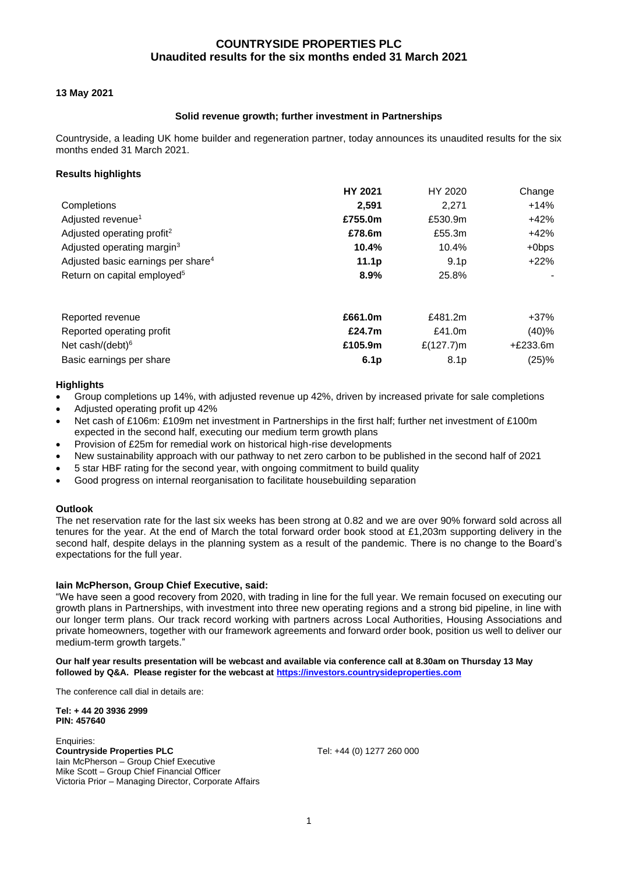## **13 May 2021**

## **Solid revenue growth; further investment in Partnerships**

Countryside, a leading UK home builder and regeneration partner, today announces its unaudited results for the six months ended 31 March 2021.

## **Results highlights**

|                                                | <b>HY 2021</b>   | HY 2020          | Change     |
|------------------------------------------------|------------------|------------------|------------|
| Completions                                    | 2,591            | 2,271            | $+14%$     |
| Adjusted revenue <sup>1</sup>                  | £755.0m          | £530.9m          | $+42%$     |
| Adjusted operating profit <sup>2</sup>         | £78.6m           | £55.3m           | $+42%$     |
| Adjusted operating margin <sup>3</sup>         | 10.4%            | 10.4%            | $+0$ bps   |
| Adjusted basic earnings per share <sup>4</sup> | 11.1p            | 9.1 <sub>p</sub> | $+22%$     |
| Return on capital employed <sup>5</sup>        | 8.9%             | 25.8%            |            |
| Reported revenue                               | £661.0m          | £481.2m          | $+37%$     |
| Reported operating profit                      | £24.7m           | £41.0 $m$        | (40)%      |
| Net cash/(debt) $6$                            | £105.9m          | £ $(127.7)$ m    | $+£233.6m$ |
| Basic earnings per share                       | 6.1 <sub>p</sub> | 8.1 <sub>p</sub> | (25)%      |

## **Highlights**

- Group completions up 14%, with adjusted revenue up 42%, driven by increased private for sale completions
- Adjusted operating profit up 42%
- Net cash of £106m: £109m net investment in Partnerships in the first half; further net investment of £100m expected in the second half, executing our medium term growth plans
- Provision of £25m for remedial work on historical high-rise developments
- New sustainability approach with our pathway to net zero carbon to be published in the second half of 2021
- 5 star HBF rating for the second year, with ongoing commitment to build quality
- Good progress on internal reorganisation to facilitate housebuilding separation

### **Outlook**

The net reservation rate for the last six weeks has been strong at 0.82 and we are over 90% forward sold across all tenures for the year. At the end of March the total forward order book stood at £1,203m supporting delivery in the second half, despite delays in the planning system as a result of the pandemic. There is no change to the Board's expectations for the full year.

## **Iain McPherson, Group Chief Executive, said:**

"We have seen a good recovery from 2020, with trading in line for the full year. We remain focused on executing our growth plans in Partnerships, with investment into three new operating regions and a strong bid pipeline, in line with our longer term plans. Our track record working with partners across Local Authorities, Housing Associations and private homeowners, together with our framework agreements and forward order book, position us well to deliver our medium-term growth targets."

### **Our half year results presentation will be webcast and available via conference call at 8.30am on Thursday 13 May followed by Q&A. Please register for the webcast a[t https://investors.countrysideproperties.com](https://investors.countrysideproperties.com/)**

The conference call dial in details are:

**Tel: + 44 20 3936 2999 PIN: 457640**

Enquiries: **Countryside Properties PLC** Tel: +44 (0) 1277 260 000 Iain McPherson – Group Chief Executive Mike Scott – Group Chief Financial Officer Victoria Prior – Managing Director, Corporate Affairs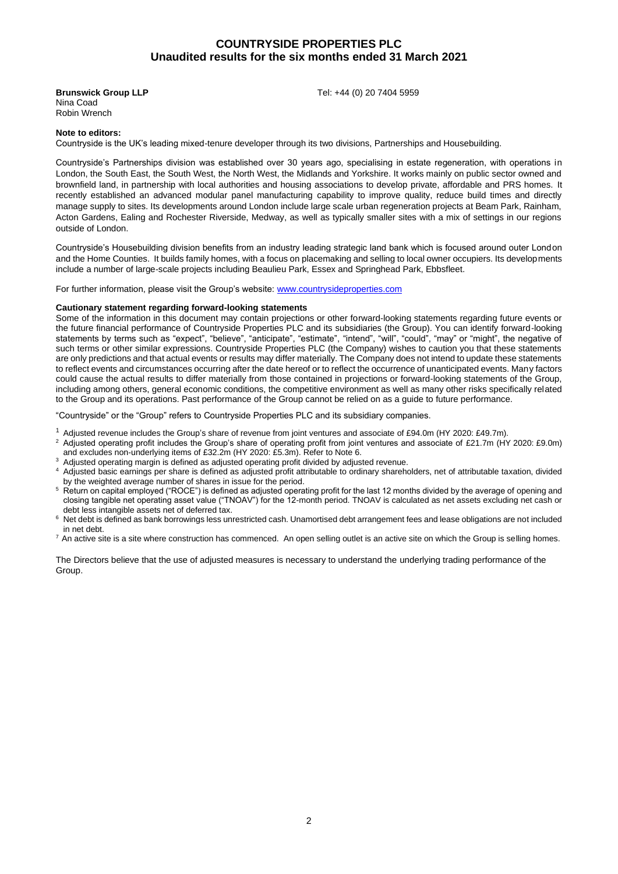Nina Coad Robin Wrench

**Brunswick Group LLP Tel: +44 (0) 20 7404 5959** 

#### **Note to editors:**

Countryside is the UK's leading mixed-tenure developer through its two divisions, Partnerships and Housebuilding.

Countryside's Partnerships division was established over 30 years ago, specialising in estate regeneration, with operations in London, the South East, the South West, the North West, the Midlands and Yorkshire. It works mainly on public sector owned and brownfield land, in partnership with local authorities and housing associations to develop private, affordable and PRS homes. It recently established an advanced modular panel manufacturing capability to improve quality, reduce build times and directly manage supply to sites. Its developments around London include large scale urban regeneration projects at Beam Park, Rainham, Acton Gardens, Ealing and Rochester Riverside, Medway, as well as typically smaller sites with a mix of settings in our regions outside of London.

Countryside's Housebuilding division benefits from an industry leading strategic land bank which is focused around outer London and the Home Counties. It builds family homes, with a focus on placemaking and selling to local owner occupiers. Its developments include a number of large-scale projects including Beaulieu Park, Essex and Springhead Park, Ebbsfleet.

For further information, please visit the Group's website: [www.countrysideproperties.com](http://www.countrysideproperties.com/)

#### **Cautionary statement regarding forward-looking statements**

Some of the information in this document may contain projections or other forward-looking statements regarding future events or the future financial performance of Countryside Properties PLC and its subsidiaries (the Group). You can identify forward-looking statements by terms such as "expect", "believe", "anticipate", "estimate", "intend", "will", "could", "may" or "might", the negative of such terms or other similar expressions. Countryside Properties PLC (the Company) wishes to caution you that these statements are only predictions and that actual events or results may differ materially. The Company does not intend to update these statements to reflect events and circumstances occurring after the date hereof or to reflect the occurrence of unanticipated events. Many factors could cause the actual results to differ materially from those contained in projections or forward-looking statements of the Group, including among others, general economic conditions, the competitive environment as well as many other risks specifically related to the Group and its operations. Past performance of the Group cannot be relied on as a guide to future performance.

"Countryside" or the "Group" refers to Countryside Properties PLC and its subsidiary companies.

- <sup>1</sup> Adjusted revenue includes the Group's share of revenue from joint ventures and associate of £94.0m (HY 2020: £49.7m).<br><sup>2</sup> Adjusted eperating profit includes the Croup's obers of eperating profit from joint ventures an
- <sup>2</sup> Adjusted operating profit includes the Group's share of operating profit from joint ventures and associate of £21.7m (HY 2020: £9.0m) and excludes non-underlying items of £32.2m (HY 2020: £5.3m). Refer to Note 6.
- Adjusted operating margin is defined as adjusted operating profit divided by adjusted revenue.
- <sup>4</sup>Adjusted basic earnings per share is defined as adjusted profit attributable to ordinary shareholders, net of attributable taxation, divided by the weighted average number of shares in issue for the period.
- <sup>5</sup> Return on capital employed ("ROCE") is defined as adjusted operating profit for the last 12 months divided by the average of opening and closing tangible net operating asset value ("TNOAV") for the 12-month period. TNOAV is calculated as net assets excluding net cash or debt less intangible assets net of deferred tax.
- $6$  Net debt is defined as bank borrowings less unrestricted cash. Unamortised debt arrangement fees and lease obligations are not included in net debt.
- $7$  An active site is a site where construction has commenced. An open selling outlet is an active site on which the Group is selling homes.

The Directors believe that the use of adjusted measures is necessary to understand the underlying trading performance of the Group.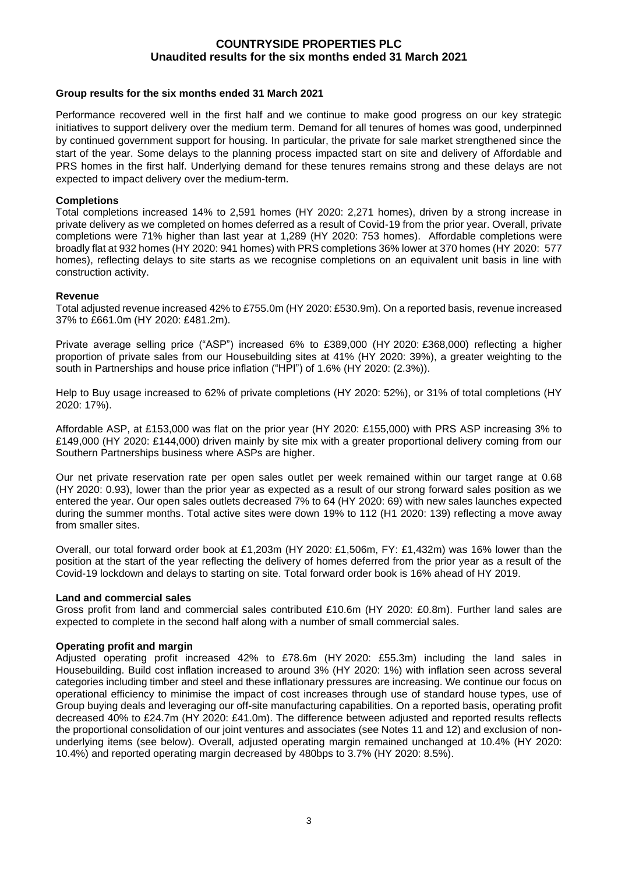## **Group results for the six months ended 31 March 2021**

Performance recovered well in the first half and we continue to make good progress on our key strategic initiatives to support delivery over the medium term. Demand for all tenures of homes was good, underpinned by continued government support for housing. In particular, the private for sale market strengthened since the start of the year. Some delays to the planning process impacted start on site and delivery of Affordable and PRS homes in the first half. Underlying demand for these tenures remains strong and these delays are not expected to impact delivery over the medium-term.

## **Completions**

Total completions increased 14% to 2,591 homes (HY 2020: 2,271 homes), driven by a strong increase in private delivery as we completed on homes deferred as a result of Covid-19 from the prior year. Overall, private completions were 71% higher than last year at 1,289 (HY 2020: 753 homes). Affordable completions were broadly flat at 932 homes (HY 2020: 941 homes) with PRS completions 36% lower at 370 homes (HY 2020: 577 homes), reflecting delays to site starts as we recognise completions on an equivalent unit basis in line with construction activity.

## **Revenue**

Total adjusted revenue increased 42% to £755.0m (HY 2020: £530.9m). On a reported basis, revenue increased 37% to £661.0m (HY 2020: £481.2m).

Private average selling price ("ASP") increased 6% to £389,000 (HY 2020: £368,000) reflecting a higher proportion of private sales from our Housebuilding sites at 41% (HY 2020: 39%), a greater weighting to the south in Partnerships and house price inflation ("HPI") of 1.6% (HY 2020: (2.3%)).

Help to Buy usage increased to 62% of private completions (HY 2020: 52%), or 31% of total completions (HY 2020: 17%).

Affordable ASP, at £153,000 was flat on the prior year (HY 2020: £155,000) with PRS ASP increasing 3% to £149,000 (HY 2020: £144,000) driven mainly by site mix with a greater proportional delivery coming from our Southern Partnerships business where ASPs are higher.

Our net private reservation rate per open sales outlet per week remained within our target range at 0.68 (HY 2020: 0.93), lower than the prior year as expected as a result of our strong forward sales position as we entered the year. Our open sales outlets decreased 7% to 64 (HY 2020: 69) with new sales launches expected during the summer months. Total active sites were down 19% to 112 (H1 2020: 139) reflecting a move away from smaller sites.

Overall, our total forward order book at £1,203m (HY 2020: £1,506m, FY: £1,432m) was 16% lower than the position at the start of the year reflecting the delivery of homes deferred from the prior year as a result of the Covid-19 lockdown and delays to starting on site. Total forward order book is 16% ahead of HY 2019.

## **Land and commercial sales**

Gross profit from land and commercial sales contributed £10.6m (HY 2020: £0.8m). Further land sales are expected to complete in the second half along with a number of small commercial sales.

## **Operating profit and margin**

Adjusted operating profit increased 42% to £78.6m (HY 2020: £55.3m) including the land sales in Housebuilding. Build cost inflation increased to around 3% (HY 2020: 1%) with inflation seen across several categories including timber and steel and these inflationary pressures are increasing. We continue our focus on operational efficiency to minimise the impact of cost increases through use of standard house types, use of Group buying deals and leveraging our off-site manufacturing capabilities. On a reported basis, operating profit decreased 40% to £24.7m (HY 2020: £41.0m). The difference between adjusted and reported results reflects the proportional consolidation of our joint ventures and associates (see Notes 11 and 12) and exclusion of nonunderlying items (see below). Overall, adjusted operating margin remained unchanged at 10.4% (HY 2020: 10.4%) and reported operating margin decreased by 480bps to 3.7% (HY 2020: 8.5%).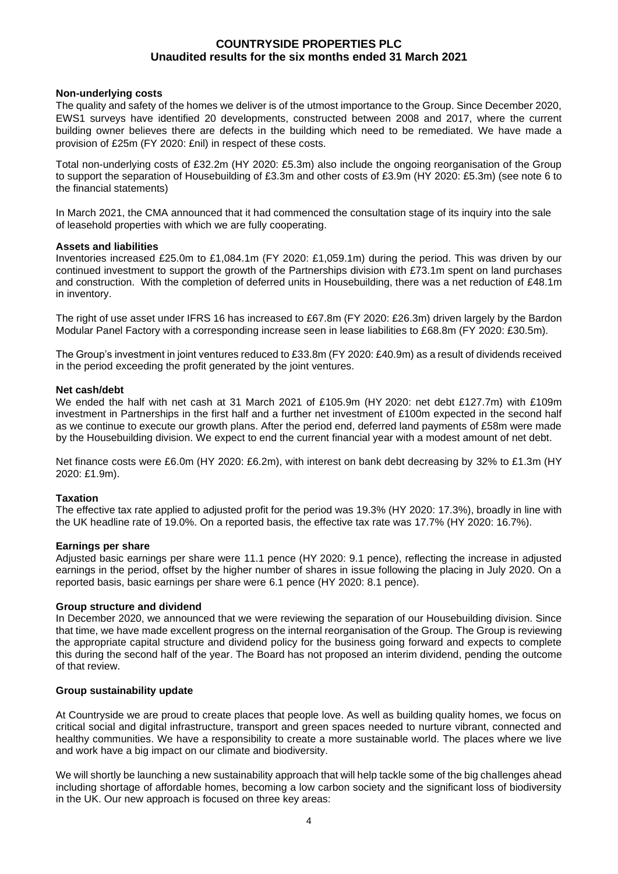## **Non-underlying costs**

The quality and safety of the homes we deliver is of the utmost importance to the Group. Since December 2020, EWS1 surveys have identified 20 developments, constructed between 2008 and 2017, where the current building owner believes there are defects in the building which need to be remediated. We have made a provision of £25m (FY 2020: £nil) in respect of these costs.

Total non-underlying costs of £32.2m (HY 2020: £5.3m) also include the ongoing reorganisation of the Group to support the separation of Housebuilding of £3.3m and other costs of £3.9m (HY 2020: £5.3m) (see note 6 to the financial statements)

In March 2021, the CMA announced that it had commenced the consultation stage of its inquiry into the sale of leasehold properties with which we are fully cooperating.

## **Assets and liabilities**

Inventories increased £25.0m to £1,084.1m (FY 2020: £1,059.1m) during the period. This was driven by our continued investment to support the growth of the Partnerships division with £73.1m spent on land purchases and construction. With the completion of deferred units in Housebuilding, there was a net reduction of £48.1m in inventory.

The right of use asset under IFRS 16 has increased to £67.8m (FY 2020: £26.3m) driven largely by the Bardon Modular Panel Factory with a corresponding increase seen in lease liabilities to £68.8m (FY 2020: £30.5m).

The Group's investment in joint ventures reduced to £33.8m (FY 2020: £40.9m) as a result of dividends received in the period exceeding the profit generated by the joint ventures.

## **Net cash/debt**

We ended the half with net cash at 31 March 2021 of £105.9m (HY 2020: net debt £127.7m) with £109m investment in Partnerships in the first half and a further net investment of £100m expected in the second half as we continue to execute our growth plans. After the period end, deferred land payments of £58m were made by the Housebuilding division. We expect to end the current financial year with a modest amount of net debt.

Net finance costs were £6.0m (HY 2020: £6.2m), with interest on bank debt decreasing by 32% to £1.3m (HY 2020: £1.9m).

## **Taxation**

The effective tax rate applied to adjusted profit for the period was 19.3% (HY 2020: 17.3%), broadly in line with the UK headline rate of 19.0%. On a reported basis, the effective tax rate was 17.7% (HY 2020: 16.7%).

## **Earnings per share**

Adjusted basic earnings per share were 11.1 pence (HY 2020: 9.1 pence), reflecting the increase in adjusted earnings in the period, offset by the higher number of shares in issue following the placing in July 2020. On a reported basis, basic earnings per share were 6.1 pence (HY 2020: 8.1 pence).

## **Group structure and dividend**

In December 2020, we announced that we were reviewing the separation of our Housebuilding division. Since that time, we have made excellent progress on the internal reorganisation of the Group. The Group is reviewing the appropriate capital structure and dividend policy for the business going forward and expects to complete this during the second half of the year. The Board has not proposed an interim dividend, pending the outcome of that review.

## **Group sustainability update**

At Countryside we are proud to create places that people love. As well as building quality homes, we focus on critical social and digital infrastructure, transport and green spaces needed to nurture vibrant, connected and healthy communities. We have a responsibility to create a more sustainable world. The places where we live and work have a big impact on our climate and biodiversity.

We will shortly be launching a new sustainability approach that will help tackle some of the big challenges ahead including shortage of affordable homes, becoming a low carbon society and the significant loss of biodiversity in the UK. Our new approach is focused on three key areas: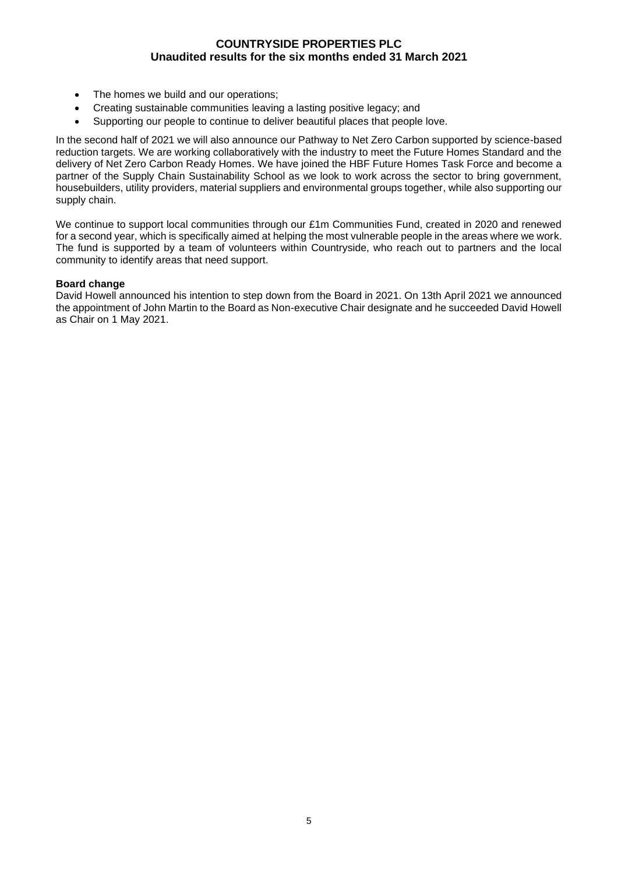- The homes we build and our operations;
- Creating sustainable communities leaving a lasting positive legacy; and
- Supporting our people to continue to deliver beautiful places that people love.

In the second half of 2021 we will also announce our Pathway to Net Zero Carbon supported by science-based reduction targets. We are working collaboratively with the industry to meet the Future Homes Standard and the delivery of Net Zero Carbon Ready Homes. We have joined the HBF Future Homes Task Force and become a partner of the Supply Chain Sustainability School as we look to work across the sector to bring government, housebuilders, utility providers, material suppliers and environmental groups together, while also supporting our supply chain.

We continue to support local communities through our £1m Communities Fund, created in 2020 and renewed for a second year, which is specifically aimed at helping the most vulnerable people in the areas where we work. The fund is supported by a team of volunteers within Countryside, who reach out to partners and the local community to identify areas that need support.

## **Board change**

David Howell announced his intention to step down from the Board in 2021. On 13th April 2021 we announced the appointment of John Martin to the Board as Non-executive Chair designate and he succeeded David Howell as Chair on 1 May 2021.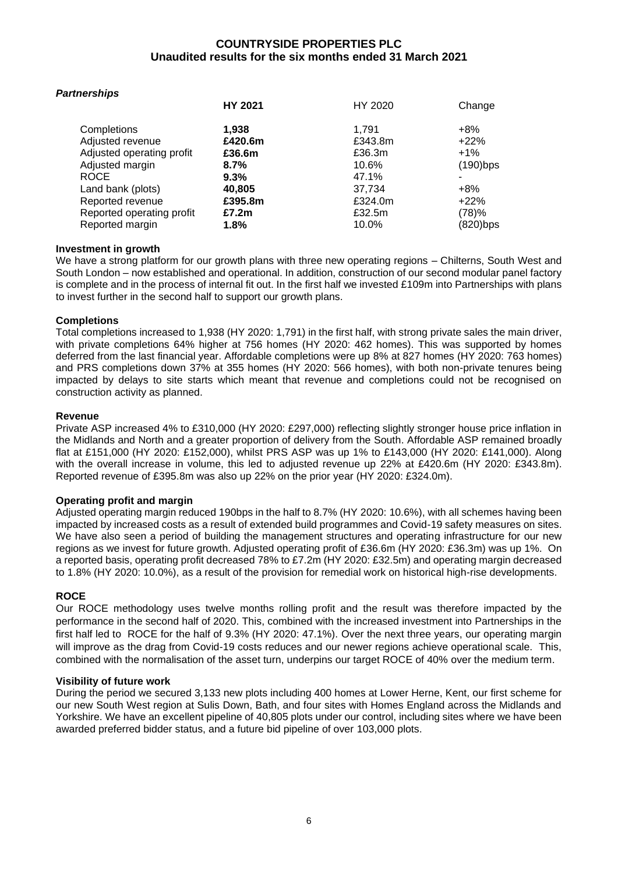| <b>Partnerships</b>       |                |         |             |
|---------------------------|----------------|---------|-------------|
|                           | <b>HY 2021</b> | HY 2020 | Change      |
| Completions               | 1,938          | 1.791   | $+8\%$      |
| Adjusted revenue          | £420.6m        | £343.8m | $+22%$      |
| Adjusted operating profit | £36.6m         | £36.3m  | $+1\%$      |
| Adjusted margin           | 8.7%           | 10.6%   | $(190)$ bps |
| <b>ROCE</b>               | 9.3%           | 47.1%   |             |
| Land bank (plots)         | 40,805         | 37,734  | $+8\%$      |
| Reported revenue          | £395.8m        | £324.0m | $+22%$      |
| Reported operating profit | £7.2m          | £32.5m  | (78)%       |
| Reported margin           | 1.8%           | 10.0%   | $(820)$ bps |
|                           |                |         |             |

## **Investment in growth**

We have a strong platform for our growth plans with three new operating regions – Chilterns, South West and South London – now established and operational. In addition, construction of our second modular panel factory is complete and in the process of internal fit out. In the first half we invested £109m into Partnerships with plans to invest further in the second half to support our growth plans.

## **Completions**

Total completions increased to 1,938 (HY 2020: 1,791) in the first half, with strong private sales the main driver, with private completions 64% higher at 756 homes (HY 2020: 462 homes). This was supported by homes deferred from the last financial year. Affordable completions were up 8% at 827 homes (HY 2020: 763 homes) and PRS completions down 37% at 355 homes (HY 2020: 566 homes), with both non-private tenures being impacted by delays to site starts which meant that revenue and completions could not be recognised on construction activity as planned.

## **Revenue**

Private ASP increased 4% to £310,000 (HY 2020: £297,000) reflecting slightly stronger house price inflation in the Midlands and North and a greater proportion of delivery from the South. Affordable ASP remained broadly flat at £151,000 (HY 2020: £152,000), whilst PRS ASP was up 1% to £143,000 (HY 2020: £141,000). Along with the overall increase in volume, this led to adjusted revenue up 22% at £420.6m (HY 2020: £343.8m). Reported revenue of £395.8m was also up 22% on the prior year (HY 2020: £324.0m).

# **Operating profit and margin**

Adjusted operating margin reduced 190bps in the half to 8.7% (HY 2020: 10.6%), with all schemes having been impacted by increased costs as a result of extended build programmes and Covid-19 safety measures on sites. We have also seen a period of building the management structures and operating infrastructure for our new regions as we invest for future growth. Adjusted operating profit of £36.6m (HY 2020: £36.3m) was up 1%. On a reported basis, operating profit decreased 78% to £7.2m (HY 2020: £32.5m) and operating margin decreased to 1.8% (HY 2020: 10.0%), as a result of the provision for remedial work on historical high-rise developments.

# **ROCE**

Our ROCE methodology uses twelve months rolling profit and the result was therefore impacted by the performance in the second half of 2020. This, combined with the increased investment into Partnerships in the first half led to ROCE for the half of 9.3% (HY 2020: 47.1%). Over the next three years, our operating margin will improve as the drag from Covid-19 costs reduces and our newer regions achieve operational scale. This, combined with the normalisation of the asset turn, underpins our target ROCE of 40% over the medium term.

## **Visibility of future work**

During the period we secured 3,133 new plots including 400 homes at Lower Herne, Kent, our first scheme for our new South West region at Sulis Down, Bath, and four sites with Homes England across the Midlands and Yorkshire. We have an excellent pipeline of 40,805 plots under our control, including sites where we have been awarded preferred bidder status, and a future bid pipeline of over 103,000 plots.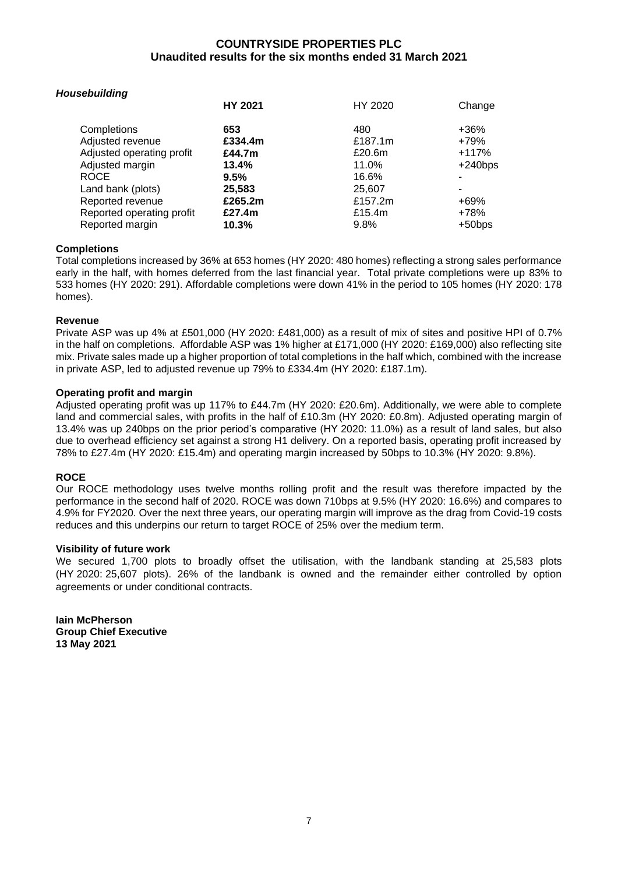| Housebuilding             |                |         |            |
|---------------------------|----------------|---------|------------|
|                           | <b>HY 2021</b> | HY 2020 | Change     |
| Completions               | 653            | 480     | +36%       |
| Adjusted revenue          | £334.4m        | £187.1m | +79%       |
| Adjusted operating profit | £44.7m         | £20.6m  | $+117%$    |
| Adjusted margin           | 13.4%          | 11.0%   | $+240$ bps |
| <b>ROCE</b>               | 9.5%           | 16.6%   |            |
| Land bank (plots)         | 25,583         | 25,607  | -          |
| Reported revenue          | £265.2m        | £157.2m | +69%       |
| Reported operating profit | £27.4m         | £15.4m  | +78%       |
| Reported margin           | 10.3%          | 9.8%    | $+50$ bps  |
|                           |                |         |            |

# **Completions**

Total completions increased by 36% at 653 homes (HY 2020: 480 homes) reflecting a strong sales performance early in the half, with homes deferred from the last financial year. Total private completions were up 83% to 533 homes (HY 2020: 291). Affordable completions were down 41% in the period to 105 homes (HY 2020: 178 homes).

# **Revenue**

Private ASP was up 4% at £501,000 (HY 2020: £481,000) as a result of mix of sites and positive HPI of 0.7% in the half on completions. Affordable ASP was 1% higher at £171,000 (HY 2020: £169,000) also reflecting site mix. Private sales made up a higher proportion of total completions in the half which, combined with the increase in private ASP, led to adjusted revenue up 79% to £334.4m (HY 2020: £187.1m).

# **Operating profit and margin**

Adjusted operating profit was up 117% to £44.7m (HY 2020: £20.6m). Additionally, we were able to complete land and commercial sales, with profits in the half of £10.3m (HY 2020: £0.8m). Adjusted operating margin of 13.4% was up 240bps on the prior period's comparative (HY 2020: 11.0%) as a result of land sales, but also due to overhead efficiency set against a strong H1 delivery. On a reported basis, operating profit increased by 78% to £27.4m (HY 2020: £15.4m) and operating margin increased by 50bps to 10.3% (HY 2020: 9.8%).

# **ROCE**

Our ROCE methodology uses twelve months rolling profit and the result was therefore impacted by the performance in the second half of 2020. ROCE was down 710bps at 9.5% (HY 2020: 16.6%) and compares to 4.9% for FY2020. Over the next three years, our operating margin will improve as the drag from Covid-19 costs reduces and this underpins our return to target ROCE of 25% over the medium term.

# **Visibility of future work**

We secured 1,700 plots to broadly offset the utilisation, with the landbank standing at 25,583 plots (HY 2020: 25,607 plots). 26% of the landbank is owned and the remainder either controlled by option agreements or under conditional contracts.

**Iain McPherson Group Chief Executive 13 May 2021**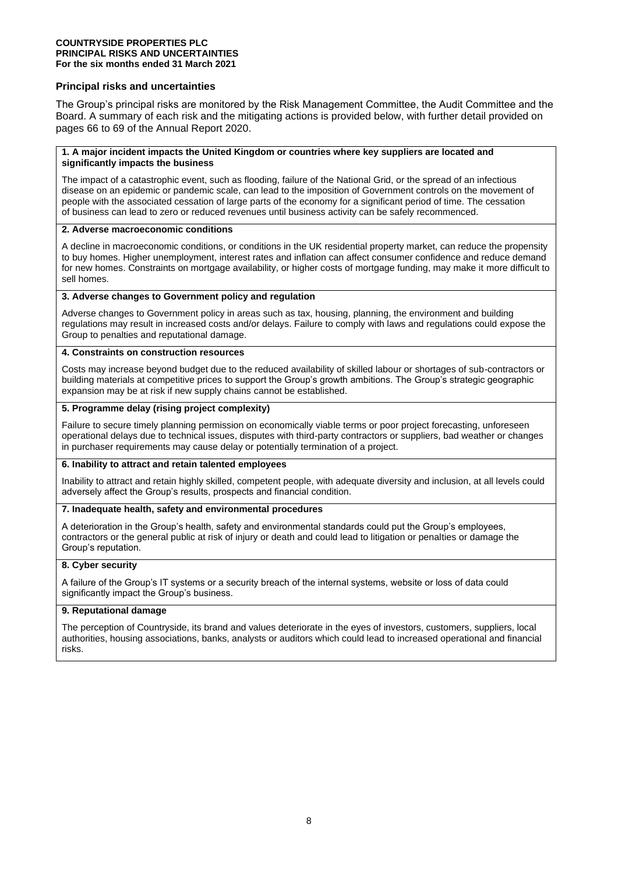### **COUNTRYSIDE PROPERTIES PLC PRINCIPAL RISKS AND UNCERTAINTIES For the six months ended 31 March 2021**

## **Principal risks and uncertainties**

The Group's principal risks are monitored by the Risk Management Committee, the Audit Committee and the Board. A summary of each risk and the mitigating actions is provided below, with further detail provided on pages 66 to 69 of the Annual Report 2020.

### **1. A major incident impacts the United Kingdom or countries where key suppliers are located and significantly impacts the business**

The impact of a catastrophic event, such as flooding, failure of the National Grid, or the spread of an infectious disease on an epidemic or pandemic scale, can lead to the imposition of Government controls on the movement of people with the associated cessation of large parts of the economy for a significant period of time. The cessation of business can lead to zero or reduced revenues until business activity can be safely recommenced.

### **2. Adverse macroeconomic conditions**

A decline in macroeconomic conditions, or conditions in the UK residential property market, can reduce the propensity to buy homes. Higher unemployment, interest rates and inflation can affect consumer confidence and reduce demand for new homes. Constraints on mortgage availability, or higher costs of mortgage funding, may make it more difficult to sell homes.

## **3. Adverse changes to Government policy and regulation**

Adverse changes to Government policy in areas such as tax, housing, planning, the environment and building regulations may result in increased costs and/or delays. Failure to comply with laws and regulations could expose the Group to penalties and reputational damage.

### **4. Constraints on construction resources**

Costs may increase beyond budget due to the reduced availability of skilled labour or shortages of sub-contractors or building materials at competitive prices to support the Group's growth ambitions. The Group's strategic geographic expansion may be at risk if new supply chains cannot be established.

## **5. Programme delay (rising project complexity)**

Failure to secure timely planning permission on economically viable terms or poor project forecasting, unforeseen operational delays due to technical issues, disputes with third-party contractors or suppliers, bad weather or changes in purchaser requirements may cause delay or potentially termination of a project.

### **6. Inability to attract and retain talented employees**

Inability to attract and retain highly skilled, competent people, with adequate diversity and inclusion, at all levels could adversely affect the Group's results, prospects and financial condition.

## **7. Inadequate health, safety and environmental procedures**

A deterioration in the Group's health, safety and environmental standards could put the Group's employees, contractors or the general public at risk of injury or death and could lead to litigation or penalties or damage the Group's reputation.

## **8. Cyber security**

A failure of the Group's IT systems or a security breach of the internal systems, website or loss of data could significantly impact the Group's business.

### **9. Reputational damage**

The perception of Countryside, its brand and values deteriorate in the eyes of investors, customers, suppliers, local authorities, housing associations, banks, analysts or auditors which could lead to increased operational and financial risks.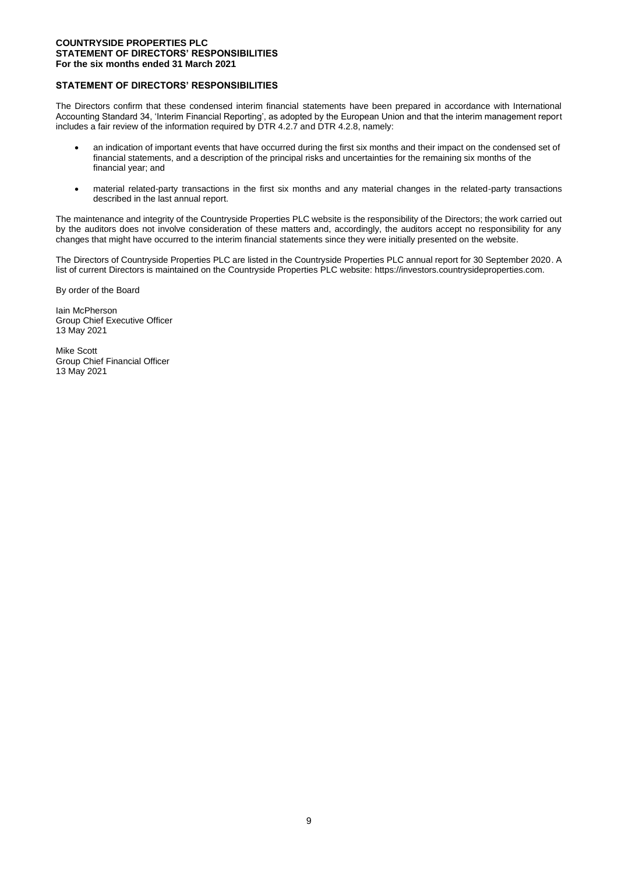## **COUNTRYSIDE PROPERTIES PLC STATEMENT OF DIRECTORS' RESPONSIBILITIES For the six months ended 31 March 2021**

## **STATEMENT OF DIRECTORS' RESPONSIBILITIES**

The Directors confirm that these condensed interim financial statements have been prepared in accordance with International Accounting Standard 34, 'Interim Financial Reporting', as adopted by the European Union and that the interim management report includes a fair review of the information required by DTR 4.2.7 and DTR 4.2.8, namely:

- an indication of important events that have occurred during the first six months and their impact on the condensed set of financial statements, and a description of the principal risks and uncertainties for the remaining six months of the financial year; and
- material related-party transactions in the first six months and any material changes in the related-party transactions described in the last annual report.

The maintenance and integrity of the Countryside Properties PLC website is the responsibility of the Directors; the work carried out by the auditors does not involve consideration of these matters and, accordingly, the auditors accept no responsibility for any changes that might have occurred to the interim financial statements since they were initially presented on the website.

The Directors of Countryside Properties PLC are listed in the Countryside Properties PLC annual report for 30 September 2020. A list of current Directors is maintained on the Countryside Properties PLC website: https://investors.countrysideproperties.com.

By order of the Board

Iain McPherson Group Chief Executive Officer 13 May 2021

Mike Scott Group Chief Financial Officer 13 May 2021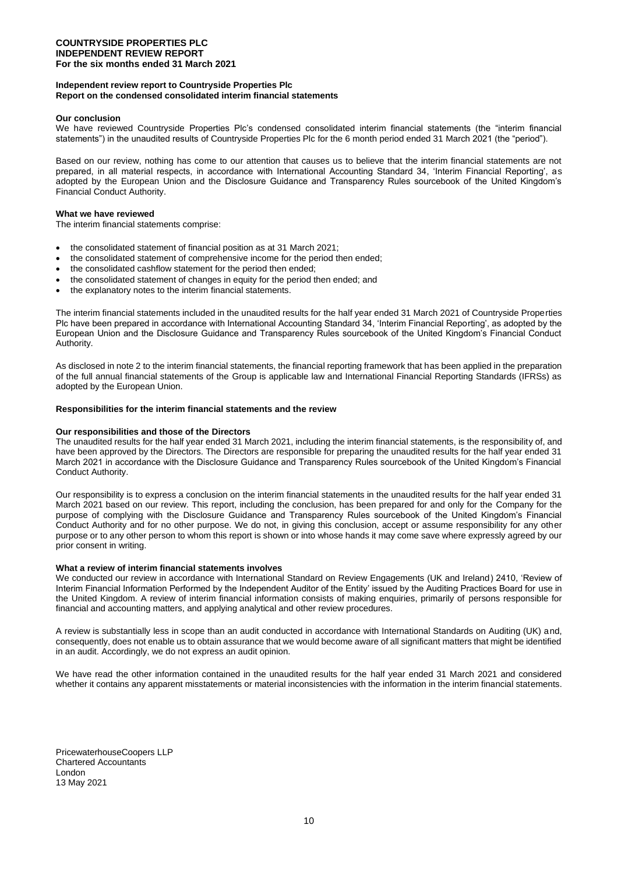### **COUNTRYSIDE PROPERTIES PLC INDEPENDENT REVIEW REPORT For the six months ended 31 March 2021**

### **Independent review report to Countryside Properties Plc Report on the condensed consolidated interim financial statements**

#### **Our conclusion**

We have reviewed Countryside Properties Plc's condensed consolidated interim financial statements (the "interim financial statements") in the unaudited results of Countryside Properties Plc for the 6 month period ended 31 March 2021 (the "period").

Based on our review, nothing has come to our attention that causes us to believe that the interim financial statements are not prepared, in all material respects, in accordance with International Accounting Standard 34, 'Interim Financial Reporting', as adopted by the European Union and the Disclosure Guidance and Transparency Rules sourcebook of the United Kingdom's Financial Conduct Authority.

#### **What we have reviewed**

The interim financial statements comprise:

- the consolidated statement of financial position as at 31 March 2021;
- the consolidated statement of comprehensive income for the period then ended;
- the consolidated cashflow statement for the period then ended;
- the consolidated statement of changes in equity for the period then ended; and
- the explanatory notes to the interim financial statements.

The interim financial statements included in the unaudited results for the half year ended 31 March 2021 of Countryside Properties Plc have been prepared in accordance with International Accounting Standard 34, 'Interim Financial Reporting', as adopted by the European Union and the Disclosure Guidance and Transparency Rules sourcebook of the United Kingdom's Financial Conduct Authority.

As disclosed in note 2 to the interim financial statements, the financial reporting framework that has been applied in the preparation of the full annual financial statements of the Group is applicable law and International Financial Reporting Standards (IFRSs) as adopted by the European Union.

### **Responsibilities for the interim financial statements and the review**

### **Our responsibilities and those of the Directors**

The unaudited results for the half year ended 31 March 2021, including the interim financial statements, is the responsibility of, and have been approved by the Directors. The Directors are responsible for preparing the unaudited results for the half year ended 31 March 2021 in accordance with the Disclosure Guidance and Transparency Rules sourcebook of the United Kingdom's Financial Conduct Authority.

Our responsibility is to express a conclusion on the interim financial statements in the unaudited results for the half year ended 31 March 2021 based on our review. This report, including the conclusion, has been prepared for and only for the Company for the purpose of complying with the Disclosure Guidance and Transparency Rules sourcebook of the United Kingdom's Financial Conduct Authority and for no other purpose. We do not, in giving this conclusion, accept or assume responsibility for any other purpose or to any other person to whom this report is shown or into whose hands it may come save where expressly agreed by our prior consent in writing.

#### **What a review of interim financial statements involves**

We conducted our review in accordance with International Standard on Review Engagements (UK and Ireland) 2410, 'Review of Interim Financial Information Performed by the Independent Auditor of the Entity' issued by the Auditing Practices Board for use in the United Kingdom. A review of interim financial information consists of making enquiries, primarily of persons responsible for financial and accounting matters, and applying analytical and other review procedures.

A review is substantially less in scope than an audit conducted in accordance with International Standards on Auditing (UK) and, consequently, does not enable us to obtain assurance that we would become aware of all significant matters that might be identified in an audit. Accordingly, we do not express an audit opinion.

We have read the other information contained in the unaudited results for the half year ended 31 March 2021 and considered whether it contains any apparent misstatements or material inconsistencies with the information in the interim financial statements.

PricewaterhouseCoopers LLP Chartered Accountants London 13 May 2021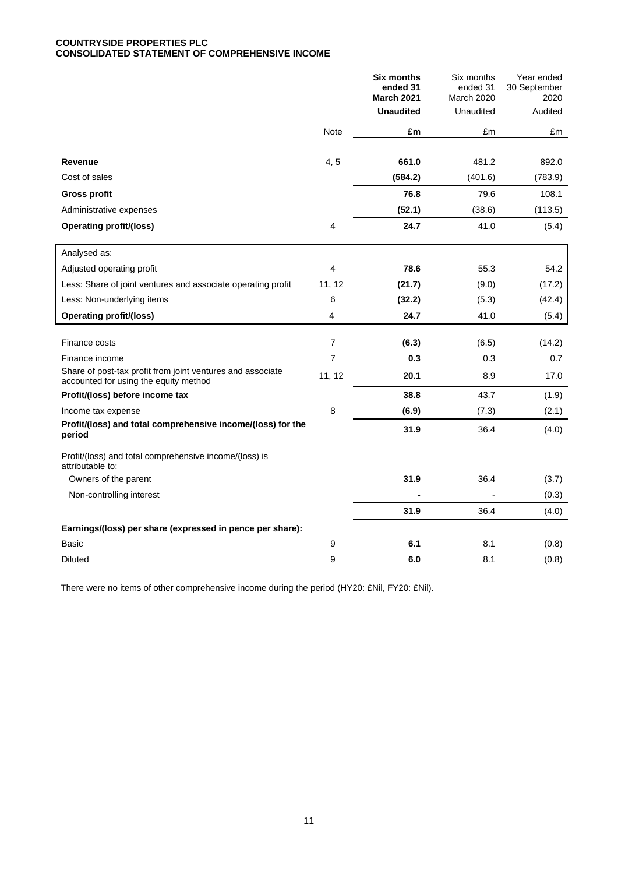## **COUNTRYSIDE PROPERTIES PLC CONSOLIDATED STATEMENT OF COMPREHENSIVE INCOME**

|                                                                                                     |                | <b>Six months</b><br>ended 31<br><b>March 2021</b> | Six months<br>ended 31<br><b>March 2020</b> | Year ended<br>30 September<br>2020 |
|-----------------------------------------------------------------------------------------------------|----------------|----------------------------------------------------|---------------------------------------------|------------------------------------|
|                                                                                                     |                | <b>Unaudited</b>                                   | Unaudited                                   | Audited                            |
|                                                                                                     | Note           | £m                                                 | £m                                          | £m                                 |
|                                                                                                     |                |                                                    |                                             |                                    |
| Revenue                                                                                             | 4, 5           | 661.0                                              | 481.2                                       | 892.0                              |
| Cost of sales                                                                                       |                | (584.2)                                            | (401.6)                                     | (783.9)                            |
| <b>Gross profit</b>                                                                                 |                | 76.8                                               | 79.6                                        | 108.1                              |
| Administrative expenses                                                                             |                | (52.1)                                             | (38.6)                                      | (113.5)                            |
| <b>Operating profit/(loss)</b>                                                                      | 4              | 24.7                                               | 41.0                                        | (5.4)                              |
| Analysed as:                                                                                        |                |                                                    |                                             |                                    |
| Adjusted operating profit                                                                           | $\overline{4}$ | 78.6                                               | 55.3                                        | 54.2                               |
| Less: Share of joint ventures and associate operating profit                                        | 11, 12         | (21.7)                                             | (9.0)                                       | (17.2)                             |
| Less: Non-underlying items                                                                          | 6              | (32.2)                                             | (5.3)                                       | (42.4)                             |
| <b>Operating profit/(loss)</b>                                                                      | 4              | 24.7                                               | 41.0                                        | (5.4)                              |
|                                                                                                     |                |                                                    |                                             |                                    |
| Finance costs                                                                                       | $\overline{7}$ | (6.3)                                              | (6.5)                                       | (14.2)                             |
| Finance income                                                                                      | $\overline{7}$ | 0.3                                                | 0.3                                         | 0.7                                |
| Share of post-tax profit from joint ventures and associate<br>accounted for using the equity method | 11, 12         | 20.1                                               | 8.9                                         | 17.0                               |
| Profit/(loss) before income tax                                                                     |                | 38.8                                               | 43.7                                        | (1.9)                              |
| Income tax expense                                                                                  | $\,8\,$        | (6.9)                                              | (7.3)                                       | (2.1)                              |
| Profit/(loss) and total comprehensive income/(loss) for the<br>period                               |                | 31.9                                               | 36.4                                        | (4.0)                              |
| Profit/(loss) and total comprehensive income/(loss) is<br>attributable to:                          |                |                                                    |                                             |                                    |
| Owners of the parent                                                                                |                | 31.9                                               | 36.4                                        | (3.7)                              |
| Non-controlling interest                                                                            |                |                                                    |                                             | (0.3)                              |
|                                                                                                     |                | 31.9                                               | 36.4                                        | (4.0)                              |
| Earnings/(loss) per share (expressed in pence per share):                                           |                |                                                    |                                             |                                    |
| Basic                                                                                               | 9              | 6.1                                                | 8.1                                         | (0.8)                              |
| <b>Diluted</b>                                                                                      | 9              | 6.0                                                | 8.1                                         | (0.8)                              |

There were no items of other comprehensive income during the period (HY20: £Nil, FY20: £Nil).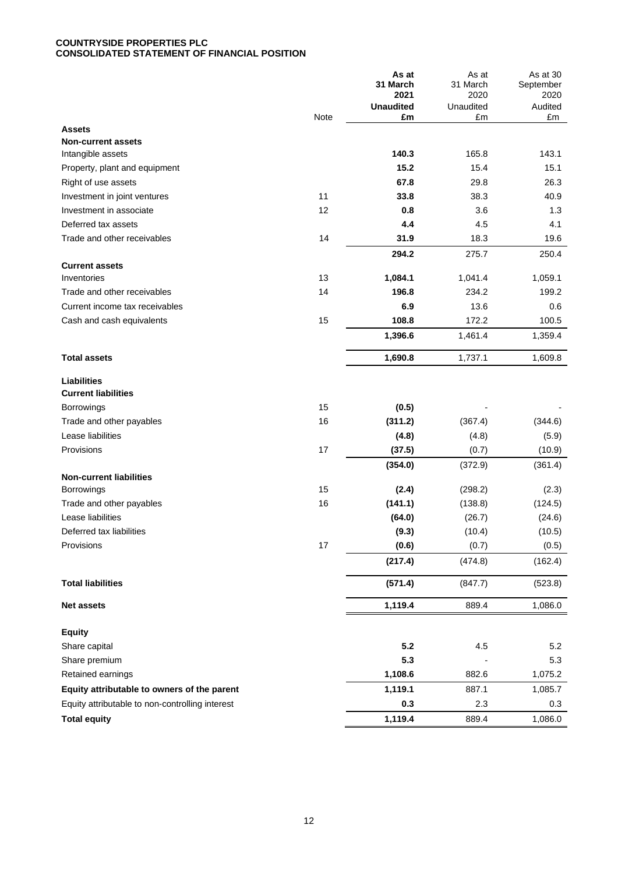## **COUNTRYSIDE PROPERTIES PLC CONSOLIDATED STATEMENT OF FINANCIAL POSITION**

|                                                  |      | As at<br>31 March<br>2021 | As at<br>31 March<br>2020 | As at 30<br>September<br>2020 |
|--------------------------------------------------|------|---------------------------|---------------------------|-------------------------------|
|                                                  | Note | <b>Unaudited</b><br>£m    | Unaudited<br>£m           | Audited<br>£m                 |
| <b>Assets</b>                                    |      |                           |                           |                               |
| <b>Non-current assets</b>                        |      |                           |                           |                               |
| Intangible assets                                |      | 140.3                     | 165.8                     | 143.1                         |
| Property, plant and equipment                    |      | 15.2                      | 15.4                      | 15.1                          |
| Right of use assets                              |      | 67.8                      | 29.8                      | 26.3                          |
| Investment in joint ventures                     | 11   | 33.8                      | 38.3                      | 40.9                          |
| Investment in associate                          | 12   | 0.8                       | 3.6                       | 1.3                           |
| Deferred tax assets                              |      | 4.4                       | 4.5                       | 4.1                           |
| Trade and other receivables                      | 14   | 31.9                      | 18.3                      | 19.6                          |
|                                                  |      | 294.2                     | 275.7                     | 250.4                         |
| <b>Current assets</b><br>Inventories             | 13   | 1,084.1                   | 1,041.4                   | 1,059.1                       |
| Trade and other receivables                      | 14   | 196.8                     | 234.2                     | 199.2                         |
| Current income tax receivables                   |      | 6.9                       | 13.6                      | 0.6                           |
| Cash and cash equivalents                        | 15   | 108.8                     | 172.2                     | 100.5                         |
|                                                  |      | 1,396.6                   | 1,461.4                   | 1,359.4                       |
| <b>Total assets</b>                              |      | 1,690.8                   | 1,737.1                   | 1,609.8                       |
| <b>Liabilities</b><br><b>Current liabilities</b> |      |                           |                           |                               |
| <b>Borrowings</b>                                | 15   | (0.5)                     |                           |                               |
| Trade and other payables                         | 16   | (311.2)                   | (367.4)                   | (344.6)                       |
| Lease liabilities                                |      | (4.8)                     | (4.8)                     | (5.9)                         |
| Provisions                                       | 17   | (37.5)                    | (0.7)                     | (10.9)                        |
| <b>Non-current liabilities</b>                   |      | (354.0)                   | (372.9)                   | (361.4)                       |
| Borrowings                                       | 15   | (2.4)                     | (298.2)                   | (2.3)                         |
| Trade and other payables                         | 16   | (141.1)                   | (138.8)                   | (124.5)                       |
| Lease liabilities                                |      | (64.0)                    | (26.7)                    | (24.6)                        |
| Deferred tax liabilities                         |      | (9.3)                     | (10.4)                    | (10.5)                        |
| Provisions                                       | 17   | (0.6)                     | (0.7)                     | (0.5)                         |
|                                                  |      | (217.4)                   | (474.8)                   | (162.4)                       |
| <b>Total liabilities</b>                         |      | (571.4)                   | (847.7)                   | (523.8)                       |
| <b>Net assets</b>                                |      | 1,119.4                   | 889.4                     | 1,086.0                       |
| <b>Equity</b>                                    |      |                           |                           |                               |
| Share capital                                    |      | 5.2                       | 4.5                       | 5.2                           |
| Share premium                                    |      | 5.3                       |                           | 5.3                           |
| Retained earnings                                |      | 1,108.6                   | 882.6                     | 1,075.2                       |
| Equity attributable to owners of the parent      |      | 1,119.1                   | 887.1                     | 1,085.7                       |
| Equity attributable to non-controlling interest  |      | 0.3                       | 2.3                       | 0.3                           |
| <b>Total equity</b>                              |      | 1,119.4                   | 889.4                     | 1,086.0                       |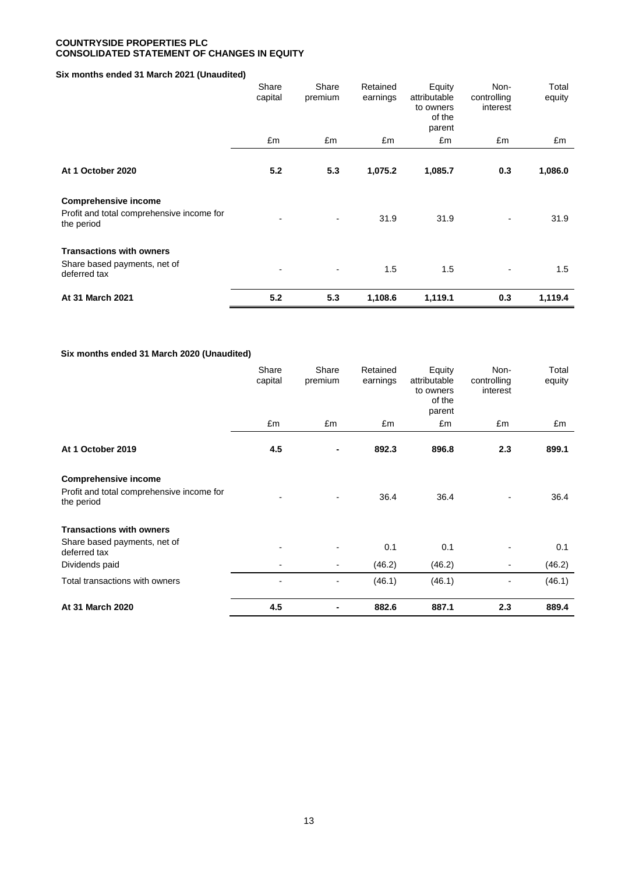## **COUNTRYSIDE PROPERTIES PLC CONSOLIDATED STATEMENT OF CHANGES IN EQUITY**

# **Six months ended 31 March 2021 (Unaudited)**

|                                                                                        | Share<br>capital | Share<br>premium         | Retained<br>earnings | Equity<br>attributable<br>to owners<br>of the<br>parent | Non-<br>controlling<br>interest | Total<br>equity |
|----------------------------------------------------------------------------------------|------------------|--------------------------|----------------------|---------------------------------------------------------|---------------------------------|-----------------|
|                                                                                        | £m               | £m                       | £m                   | £m                                                      | £m                              | £m              |
| At 1 October 2020                                                                      | 5.2              | 5.3                      | 1,075.2              | 1,085.7                                                 | 0.3                             | 1,086.0         |
| <b>Comprehensive income</b><br>Profit and total comprehensive income for<br>the period |                  | $\overline{\phantom{a}}$ | 31.9                 | 31.9                                                    | $\blacksquare$                  | 31.9            |
| <b>Transactions with owners</b><br>Share based payments, net of<br>deferred tax        |                  | $\blacksquare$           | 1.5                  | 1.5                                                     | $\overline{\phantom{0}}$        | 1.5             |
| At 31 March 2021                                                                       | 5.2              | 5.3                      | 1,108.6              | 1,119.1                                                 | 0.3                             | 1,119.4         |

# **Six months ended 31 March 2020 (Unaudited)**

|                                                                                        | Share<br>capital         | Share<br>premium         | Retained<br>earnings | Equity<br>attributable<br>to owners<br>of the<br>parent | Non-<br>controlling<br>interest | Total<br>equity |
|----------------------------------------------------------------------------------------|--------------------------|--------------------------|----------------------|---------------------------------------------------------|---------------------------------|-----------------|
|                                                                                        | £m                       | £m                       | £m                   | £m                                                      | £m                              | £m              |
| At 1 October 2019                                                                      | 4.5                      | ٠                        | 892.3                | 896.8                                                   | 2.3                             | 899.1           |
| <b>Comprehensive income</b><br>Profit and total comprehensive income for<br>the period | $\overline{\phantom{0}}$ | $\overline{\phantom{a}}$ | 36.4                 | 36.4                                                    | $\overline{a}$                  | 36.4            |
| <b>Transactions with owners</b><br>Share based payments, net of<br>deferred tax        | $\blacksquare$           | $\overline{\phantom{a}}$ | 0.1                  | 0.1                                                     | $\blacksquare$                  | 0.1             |
| Dividends paid                                                                         |                          | $\overline{\phantom{a}}$ | (46.2)               | (46.2)                                                  | ٠                               | (46.2)          |
| Total transactions with owners                                                         | $\blacksquare$           | -                        | (46.1)               | (46.1)                                                  | $\blacksquare$                  | (46.1)          |
| At 31 March 2020                                                                       | 4.5                      | ۰                        | 882.6                | 887.1                                                   | 2.3                             | 889.4           |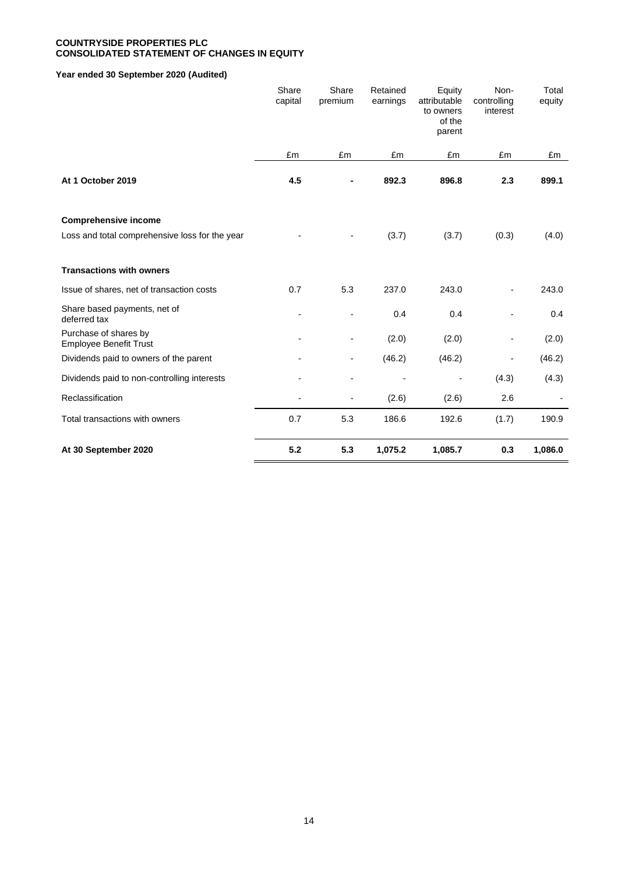## **COUNTRYSIDE PROPERTIES PLC CONSOLIDATED STATEMENT OF CHANGES IN EQUITY**

# **Year ended 30 September 2020 (Audited)**

|                                                        | Share<br>capital | Share<br>premium         | Retained<br>earnings | Equity<br>attributable<br>to owners<br>of the<br>parent | Non-<br>controlling<br>interest | Total<br>equity |
|--------------------------------------------------------|------------------|--------------------------|----------------------|---------------------------------------------------------|---------------------------------|-----------------|
|                                                        | £m               | £m                       | £m                   | £m                                                      | £m                              | £m              |
| At 1 October 2019                                      | 4.5              |                          | 892.3                | 896.8                                                   | 2.3                             | 899.1           |
| <b>Comprehensive income</b>                            |                  |                          |                      |                                                         |                                 |                 |
| Loss and total comprehensive loss for the year         |                  |                          | (3.7)                | (3.7)                                                   | (0.3)                           | (4.0)           |
| <b>Transactions with owners</b>                        |                  |                          |                      |                                                         |                                 |                 |
| Issue of shares, net of transaction costs              | 0.7              | 5.3                      | 237.0                | 243.0                                                   |                                 | 243.0           |
| Share based payments, net of<br>deferred tax           |                  |                          | 0.4                  | 0.4                                                     |                                 | 0.4             |
| Purchase of shares by<br><b>Employee Benefit Trust</b> |                  |                          | (2.0)                | (2.0)                                                   | $\overline{a}$                  | (2.0)           |
| Dividends paid to owners of the parent                 |                  |                          | (46.2)               | (46.2)                                                  |                                 | (46.2)          |
| Dividends paid to non-controlling interests            |                  |                          |                      |                                                         | (4.3)                           | (4.3)           |
| Reclassification                                       |                  | $\overline{\phantom{a}}$ | (2.6)                | (2.6)                                                   | 2.6                             |                 |
| Total transactions with owners                         | 0.7              | 5.3                      | 186.6                | 192.6                                                   | (1.7)                           | 190.9           |
| At 30 September 2020                                   | 5.2              | 5.3                      | 1,075.2              | 1,085.7                                                 | 0.3                             | 1,086.0         |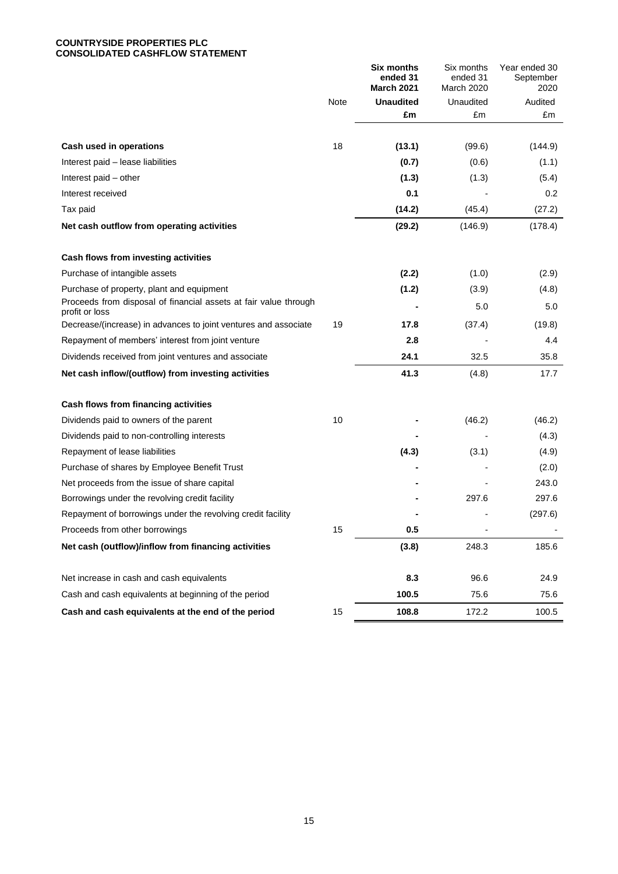## **COUNTRYSIDE PROPERTIES PLC CONSOLIDATED CASHFLOW STATEMENT**

|                                                                                    |      | <b>Six months</b><br>ended 31<br><b>March 2021</b> | Six months<br>ended 31<br>March 2020 | Year ended 30<br>September<br>2020 |
|------------------------------------------------------------------------------------|------|----------------------------------------------------|--------------------------------------|------------------------------------|
|                                                                                    | Note | <b>Unaudited</b>                                   | Unaudited                            | Audited                            |
|                                                                                    |      | £m                                                 | £m                                   | £m                                 |
|                                                                                    |      |                                                    |                                      |                                    |
| Cash used in operations                                                            | 18   | (13.1)                                             | (99.6)                               | (144.9)                            |
| Interest paid - lease liabilities                                                  |      | (0.7)                                              | (0.6)                                | (1.1)                              |
| Interest paid - other                                                              |      | (1.3)                                              | (1.3)                                | (5.4)                              |
| Interest received                                                                  |      | 0.1                                                |                                      | 0.2                                |
| Tax paid                                                                           |      | (14.2)                                             | (45.4)                               | (27.2)                             |
| Net cash outflow from operating activities                                         |      | (29.2)                                             | (146.9)                              | (178.4)                            |
| Cash flows from investing activities                                               |      |                                                    |                                      |                                    |
| Purchase of intangible assets                                                      |      | (2.2)                                              | (1.0)                                | (2.9)                              |
| Purchase of property, plant and equipment                                          |      | (1.2)                                              | (3.9)                                | (4.8)                              |
| Proceeds from disposal of financial assets at fair value through<br>profit or loss |      |                                                    | 5.0                                  | 5.0                                |
| Decrease/(increase) in advances to joint ventures and associate                    | 19   | 17.8                                               | (37.4)                               | (19.8)                             |
| Repayment of members' interest from joint venture                                  |      | 2.8                                                |                                      | 4.4                                |
| Dividends received from joint ventures and associate                               |      | 24.1                                               | 32.5                                 | 35.8                               |
| Net cash inflow/(outflow) from investing activities                                |      | 41.3                                               | (4.8)                                | 17.7                               |
| Cash flows from financing activities                                               |      |                                                    |                                      |                                    |
| Dividends paid to owners of the parent                                             | 10   |                                                    | (46.2)                               | (46.2)                             |
| Dividends paid to non-controlling interests                                        |      |                                                    |                                      | (4.3)                              |
| Repayment of lease liabilities                                                     |      | (4.3)                                              | (3.1)                                | (4.9)                              |
| Purchase of shares by Employee Benefit Trust                                       |      |                                                    |                                      | (2.0)                              |
| Net proceeds from the issue of share capital                                       |      |                                                    |                                      | 243.0                              |
| Borrowings under the revolving credit facility                                     |      |                                                    | 297.6                                | 297.6                              |
| Repayment of borrowings under the revolving credit facility                        |      |                                                    |                                      | (297.6)                            |
| Proceeds from other borrowings                                                     | 15   | $0.5\,$                                            |                                      |                                    |
| Net cash (outflow)/inflow from financing activities                                |      | (3.8)                                              | 248.3                                | 185.6                              |
| Net increase in cash and cash equivalents                                          |      | 8.3                                                | 96.6                                 | 24.9                               |
| Cash and cash equivalents at beginning of the period                               |      | 100.5                                              | 75.6                                 | 75.6                               |
| Cash and cash equivalents at the end of the period                                 | 15   | 108.8                                              | 172.2                                | 100.5                              |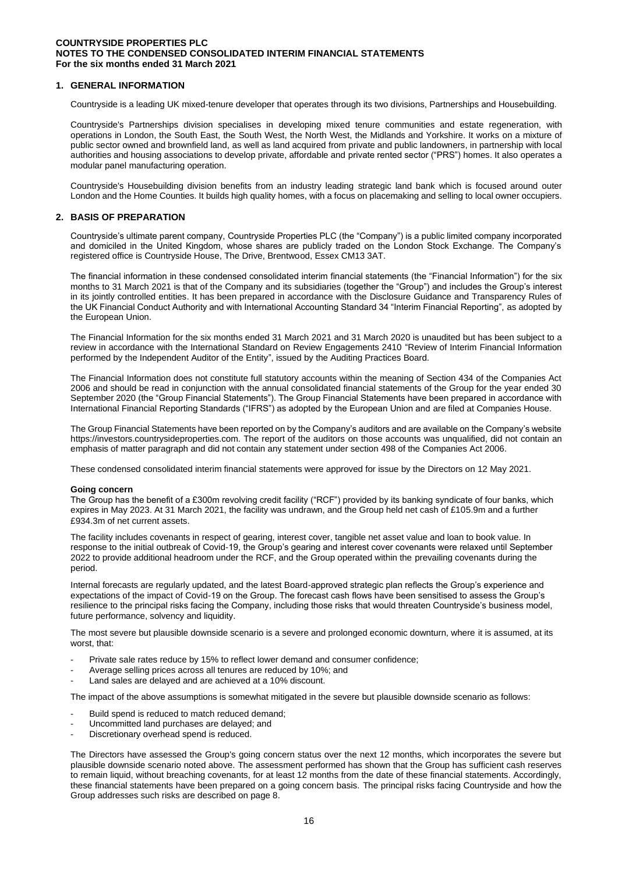## **1. GENERAL INFORMATION**

Countryside is a leading UK mixed-tenure developer that operates through its two divisions, Partnerships and Housebuilding.

Countryside's Partnerships division specialises in developing mixed tenure communities and estate regeneration, with operations in London, the South East, the South West, the North West, the Midlands and Yorkshire. It works on a mixture of public sector owned and brownfield land, as well as land acquired from private and public landowners, in partnership with local authorities and housing associations to develop private, affordable and private rented sector ("PRS") homes. It also operates a modular panel manufacturing operation.

Countryside's Housebuilding division benefits from an industry leading strategic land bank which is focused around outer London and the Home Counties. It builds high quality homes, with a focus on placemaking and selling to local owner occupiers.

### **2. BASIS OF PREPARATION**

Countryside's ultimate parent company, Countryside Properties PLC (the "Company") is a public limited company incorporated and domiciled in the United Kingdom, whose shares are publicly traded on the London Stock Exchange. The Company's registered office is Countryside House, The Drive, Brentwood, Essex CM13 3AT.

The financial information in these condensed consolidated interim financial statements (the "Financial Information") for the six months to 31 March 2021 is that of the Company and its subsidiaries (together the "Group") and includes the Group's interest in its jointly controlled entities. It has been prepared in accordance with the Disclosure Guidance and Transparency Rules of the UK Financial Conduct Authority and with International Accounting Standard 34 "Interim Financial Reporting", as adopted by the European Union.

The Financial Information for the six months ended 31 March 2021 and 31 March 2020 is unaudited but has been subject to a review in accordance with the International Standard on Review Engagements 2410 "Review of Interim Financial Information performed by the Independent Auditor of the Entity", issued by the Auditing Practices Board.

The Financial Information does not constitute full statutory accounts within the meaning of Section 434 of the Companies Act 2006 and should be read in conjunction with the annual consolidated financial statements of the Group for the year ended 30 September 2020 (the "Group Financial Statements"). The Group Financial Statements have been prepared in accordance with International Financial Reporting Standards ("IFRS") as adopted by the European Union and are filed at Companies House.

The Group Financial Statements have been reported on by the Company's auditors and are available on the Company's website https://investors.countrysideproperties.com. The report of the auditors on those accounts was unqualified, did not contain an emphasis of matter paragraph and did not contain any statement under section 498 of the Companies Act 2006.

These condensed consolidated interim financial statements were approved for issue by the Directors on 12 May 2021.

#### **Going concern**

The Group has the benefit of a £300m revolving credit facility ("RCF") provided by its banking syndicate of four banks, which expires in May 2023. At 31 March 2021, the facility was undrawn, and the Group held net cash of £105.9m and a further £934.3m of net current assets.

The facility includes covenants in respect of gearing, interest cover, tangible net asset value and loan to book value. In response to the initial outbreak of Covid-19, the Group's gearing and interest cover covenants were relaxed until September 2022 to provide additional headroom under the RCF, and the Group operated within the prevailing covenants during the period.

Internal forecasts are regularly updated, and the latest Board-approved strategic plan reflects the Group's experience and expectations of the impact of Covid-19 on the Group. The forecast cash flows have been sensitised to assess the Group's resilience to the principal risks facing the Company, including those risks that would threaten Countryside's business model, future performance, solvency and liquidity.

The most severe but plausible downside scenario is a severe and prolonged economic downturn, where it is assumed, at its worst, that:

- Private sale rates reduce by 15% to reflect lower demand and consumer confidence;
- Average selling prices across all tenures are reduced by 10%; and
- Land sales are delayed and are achieved at a 10% discount.

The impact of the above assumptions is somewhat mitigated in the severe but plausible downside scenario as follows:

- Build spend is reduced to match reduced demand;
- Uncommitted land purchases are delayed; and
- Discretionary overhead spend is reduced.

The Directors have assessed the Group's going concern status over the next 12 months, which incorporates the severe but plausible downside scenario noted above. The assessment performed has shown that the Group has sufficient cash reserves to remain liquid, without breaching covenants, for at least 12 months from the date of these financial statements. Accordingly, these financial statements have been prepared on a going concern basis. The principal risks facing Countryside and how the Group addresses such risks are described on page 8.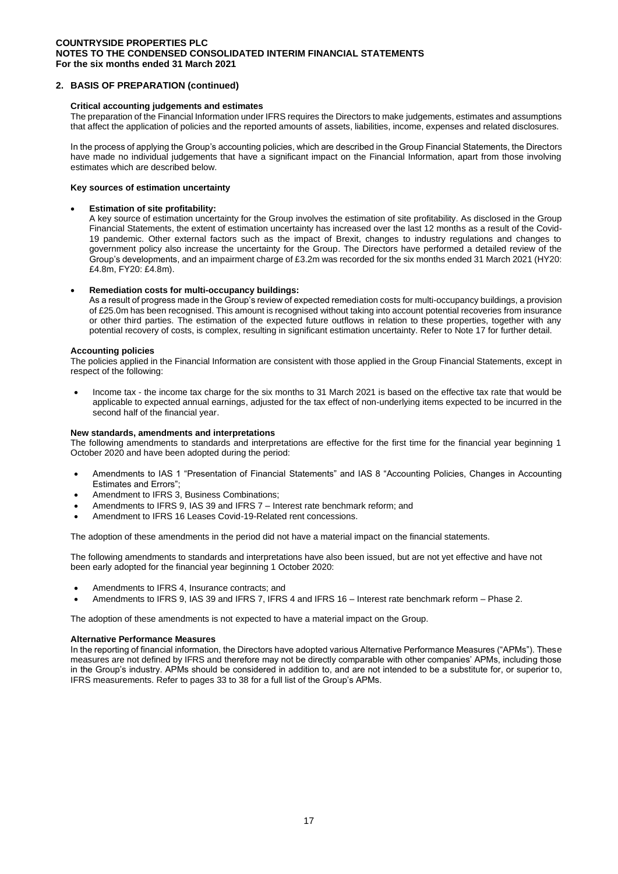### **2. BASIS OF PREPARATION (continued)**

### **Critical accounting judgements and estimates**

The preparation of the Financial Information under IFRS requires the Directors to make judgements, estimates and assumptions that affect the application of policies and the reported amounts of assets, liabilities, income, expenses and related disclosures.

In the process of applying the Group's accounting policies, which are described in the Group Financial Statements, the Directors have made no individual judgements that have a significant impact on the Financial Information, apart from those involving estimates which are described below.

### **Key sources of estimation uncertainty**

### • **Estimation of site profitability:**

A key source of estimation uncertainty for the Group involves the estimation of site profitability. As disclosed in the Group Financial Statements, the extent of estimation uncertainty has increased over the last 12 months as a result of the Covid-19 pandemic. Other external factors such as the impact of Brexit, changes to industry regulations and changes to government policy also increase the uncertainty for the Group. The Directors have performed a detailed review of the Group's developments, and an impairment charge of £3.2m was recorded for the six months ended 31 March 2021 (HY20: £4.8m, FY20: £4.8m).

### • **Remediation costs for multi-occupancy buildings:**

As a result of progress made in the Group's review of expected remediation costs for multi-occupancy buildings, a provision of £25.0m has been recognised. This amount is recognised without taking into account potential recoveries from insurance or other third parties. The estimation of the expected future outflows in relation to these properties, together with any potential recovery of costs, is complex, resulting in significant estimation uncertainty. Refer to Note 17 for further detail.

### **Accounting policies**

The policies applied in the Financial Information are consistent with those applied in the Group Financial Statements, except in respect of the following:

• Income tax - the income tax charge for the six months to 31 March 2021 is based on the effective tax rate that would be applicable to expected annual earnings, adjusted for the tax effect of non-underlying items expected to be incurred in the second half of the financial year.

#### **New standards, amendments and interpretations**

The following amendments to standards and interpretations are effective for the first time for the financial year beginning 1 October 2020 and have been adopted during the period:

- Amendments to IAS 1 "Presentation of Financial Statements" and IAS 8 "Accounting Policies, Changes in Accounting Estimates and Errors";
- Amendment to IFRS 3, Business Combinations;
- Amendments to IFRS 9, IAS 39 and IFRS 7 Interest rate benchmark reform; and
- Amendment to IFRS 16 Leases Covid-19-Related rent concessions.

The adoption of these amendments in the period did not have a material impact on the financial statements.

The following amendments to standards and interpretations have also been issued, but are not yet effective and have not been early adopted for the financial year beginning 1 October 2020:

- Amendments to IFRS 4, Insurance contracts; and
- Amendments to IFRS 9, IAS 39 and IFRS 7, IFRS 4 and IFRS 16 Interest rate benchmark reform Phase 2.

The adoption of these amendments is not expected to have a material impact on the Group.

#### **Alternative Performance Measures**

In the reporting of financial information, the Directors have adopted various Alternative Performance Measures ("APMs"). These measures are not defined by IFRS and therefore may not be directly comparable with other companies' APMs, including those in the Group's industry. APMs should be considered in addition to, and are not intended to be a substitute for, or superior to, IFRS measurements. Refer to pages 33 to 38 for a full list of the Group's APMs.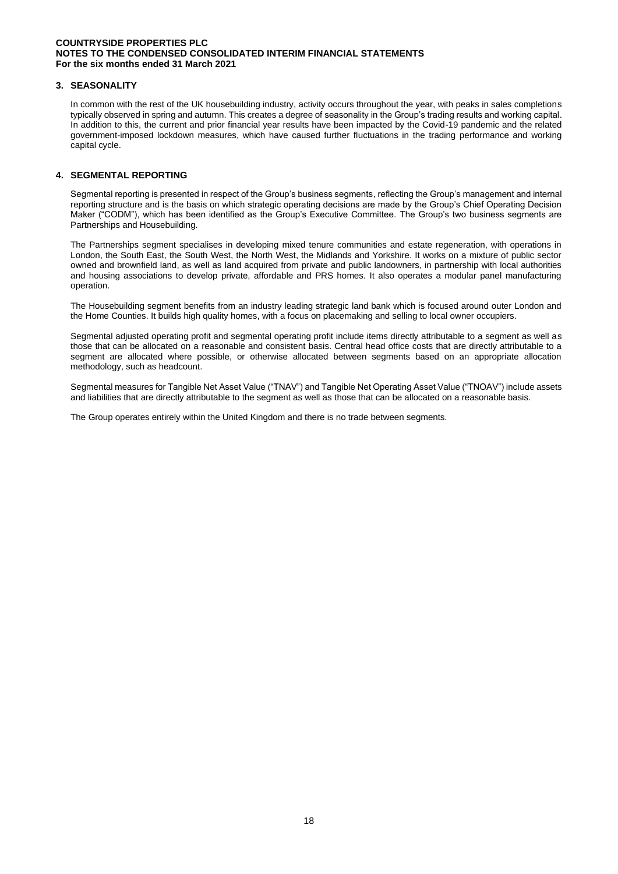### **3. SEASONALITY**

In common with the rest of the UK housebuilding industry, activity occurs throughout the year, with peaks in sales completions typically observed in spring and autumn. This creates a degree of seasonality in the Group's trading results and working capital. In addition to this, the current and prior financial year results have been impacted by the Covid-19 pandemic and the related government-imposed lockdown measures, which have caused further fluctuations in the trading performance and working capital cycle.

## **4. SEGMENTAL REPORTING**

Segmental reporting is presented in respect of the Group's business segments, reflecting the Group's management and internal reporting structure and is the basis on which strategic operating decisions are made by the Group's Chief Operating Decision Maker ("CODM"), which has been identified as the Group's Executive Committee. The Group's two business segments are Partnerships and Housebuilding.

The Partnerships segment specialises in developing mixed tenure communities and estate regeneration, with operations in London, the South East, the South West, the North West, the Midlands and Yorkshire. It works on a mixture of public sector owned and brownfield land, as well as land acquired from private and public landowners, in partnership with local authorities and housing associations to develop private, affordable and PRS homes. It also operates a modular panel manufacturing operation.

The Housebuilding segment benefits from an industry leading strategic land bank which is focused around outer London and the Home Counties. It builds high quality homes, with a focus on placemaking and selling to local owner occupiers.

Segmental adjusted operating profit and segmental operating profit include items directly attributable to a segment as well as those that can be allocated on a reasonable and consistent basis. Central head office costs that are directly attributable to a segment are allocated where possible, or otherwise allocated between segments based on an appropriate allocation methodology, such as headcount.

Segmental measures for Tangible Net Asset Value ("TNAV") and Tangible Net Operating Asset Value ("TNOAV") include assets and liabilities that are directly attributable to the segment as well as those that can be allocated on a reasonable basis.

The Group operates entirely within the United Kingdom and there is no trade between segments.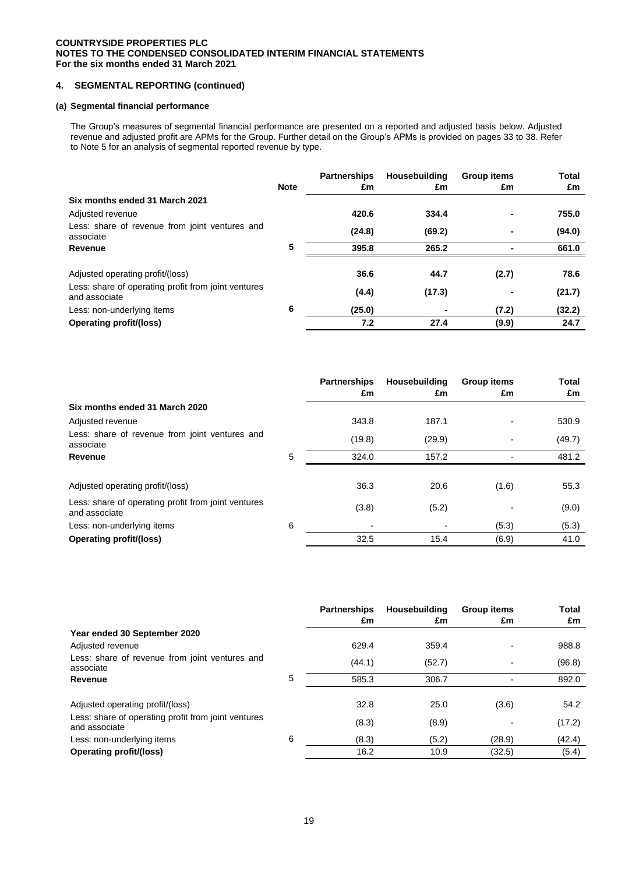## **4. SEGMENTAL REPORTING (continued)**

### **(a) Segmental financial performance**

The Group's measures of segmental financial performance are presented on a reported and adjusted basis below. Adjusted revenue and adjusted profit are APMs for the Group. Further detail on the Group's APMs is provided on pages 33 to 38. Refer to Note 5 for an analysis of segmental reported revenue by type.

|                                                             | <b>Note</b> | <b>Partnerships</b><br>£m | Housebuilding<br>£m | <b>Group items</b><br>£m | Total<br>£m |
|-------------------------------------------------------------|-------------|---------------------------|---------------------|--------------------------|-------------|
| Six months ended 31 March 2021                              |             |                           |                     |                          |             |
| Adjusted revenue                                            |             | 420.6                     | 334.4               |                          | 755.0       |
| Less: share of revenue from joint ventures and<br>associate |             | (24.8)                    | (69.2)              |                          | (94.0)      |
| Revenue                                                     | 5           | 395.8                     | 265.2               |                          | 661.0       |
| Adjusted operating profit/(loss)                            |             | 36.6                      | 44.7                | (2.7)                    | 78.6        |
| Less: share of operating profit from joint ventures         |             | (4.4)                     | (17.3)              |                          | (21.7)      |
| and associate<br>Less: non-underlying items                 | 6           | (25.0)                    | ٠                   | (7.2)                    | (32.2)      |
| <b>Operating profit/(loss)</b>                              |             | 7.2                       | 27.4                | (9.9)                    | 24.7        |

|                                                                      |   | <b>Partnerships</b><br>£m | Housebuilding<br>£m | <b>Group items</b><br>£m | <b>Total</b><br>£m |
|----------------------------------------------------------------------|---|---------------------------|---------------------|--------------------------|--------------------|
| Six months ended 31 March 2020                                       |   |                           |                     |                          |                    |
| Adjusted revenue                                                     |   | 343.8                     | 187.1               |                          | 530.9              |
| Less: share of revenue from joint ventures and<br>associate          |   | (19.8)                    | (29.9)              |                          | (49.7)             |
| Revenue                                                              | 5 | 324.0                     | 157.2               |                          | 481.2              |
|                                                                      |   |                           |                     |                          |                    |
| Adjusted operating profit/(loss)                                     |   | 36.3                      | 20.6                | (1.6)                    | 55.3               |
| Less: share of operating profit from joint ventures<br>and associate |   | (3.8)                     | (5.2)               |                          | (9.0)              |
| Less: non-underlying items                                           | 6 |                           |                     | (5.3)                    | (5.3)              |
| <b>Operating profit/(loss)</b>                                       |   | 32.5                      | 15.4                | (6.9)                    | 41.0               |

|                                                                      |   | <b>Partnerships</b><br>£m | Housebuilding<br>£m | <b>Group items</b><br>£m | Total<br>£m |
|----------------------------------------------------------------------|---|---------------------------|---------------------|--------------------------|-------------|
| Year ended 30 September 2020                                         |   |                           |                     |                          |             |
| Adjusted revenue                                                     |   | 629.4                     | 359.4               |                          | 988.8       |
| Less: share of revenue from joint ventures and<br>associate          |   | (44.1)                    | (52.7)              |                          | (96.8)      |
| Revenue                                                              | 5 | 585.3                     | 306.7               |                          | 892.0       |
|                                                                      |   |                           |                     |                          |             |
| Adjusted operating profit/(loss)                                     |   | 32.8                      | 25.0                | (3.6)                    | 54.2        |
| Less: share of operating profit from joint ventures<br>and associate |   | (8.3)                     | (8.9)               |                          | (17.2)      |
| Less: non-underlying items                                           | 6 | (8.3)                     | (5.2)               | (28.9)                   | (42.4)      |
| <b>Operating profit/(loss)</b>                                       |   | 16.2                      | 10.9                | (32.5)                   | (5.4)       |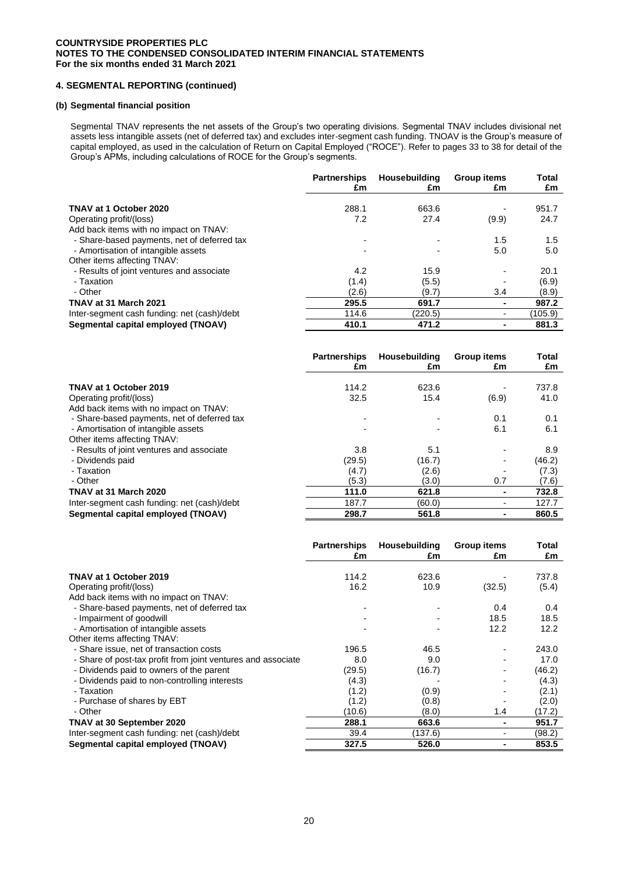# **4. SEGMENTAL REPORTING (continued)**

### **(b) Segmental financial position**

Segmental TNAV represents the net assets of the Group's two operating divisions. Segmental TNAV includes divisional net assets less intangible assets (net of deferred tax) and excludes inter-segment cash funding. TNOAV is the Group's measure of capital employed, as used in the calculation of Return on Capital Employed ("ROCE"). Refer to pages 33 to 38 for detail of the Group's APMs, including calculations of ROCE for the Group's segments.

|                                                                                                                              | <b>Partnerships</b> | Housebuilding | <b>Group items</b> | Total      |
|------------------------------------------------------------------------------------------------------------------------------|---------------------|---------------|--------------------|------------|
|                                                                                                                              | £m                  | £m            | £m                 | £m         |
| TNAV at 1 October 2020                                                                                                       | 288.1               | 663.6         | (9.9)              | 951.7      |
| Operating profit/(loss)                                                                                                      | 7.2                 | 27.4          |                    | 24.7       |
| Add back items with no impact on TNAV:<br>- Share-based payments, net of deferred tax<br>- Amortisation of intangible assets |                     |               | 1.5<br>5.0         | 1.5<br>5.0 |
| Other items affecting TNAV:<br>- Results of joint ventures and associate                                                     | 4.2                 | 15.9          |                    | 20.1       |
| - Taxation                                                                                                                   | (1.4)               | (5.5)         | 3.4                | (6.9)      |
| - Other                                                                                                                      | (2.6)               | (9.7)         |                    | (8.9)      |
| TNAV at 31 March 2021                                                                                                        | 295.5               | 691.7         |                    | 987.2      |
| Inter-segment cash funding: net (cash)/debt                                                                                  | 114.6               | (220.5)       |                    | (105.9)    |
| Segmental capital employed (TNOAV)                                                                                           | 410.1               | 471.2         |                    | 881.3      |

|                                                                    | <b>Partnerships</b><br>£m | Housebuilding<br>£m | <b>Group items</b><br>£m | Total<br>£m |
|--------------------------------------------------------------------|---------------------------|---------------------|--------------------------|-------------|
| TNAV at 1 October 2019                                             | 114.2                     | 623.6               |                          | 737.8       |
| Operating profit/(loss)<br>Add back items with no impact on TNAV:  | 32.5                      | 15.4                | (6.9)                    | 41.0        |
| - Share-based payments, net of deferred tax                        |                           |                     | 0.1                      | 0.1         |
| - Amortisation of intangible assets<br>Other items affecting TNAV: |                           |                     | 6.1                      | 6.1         |
| - Results of joint ventures and associate                          | 3.8                       | 5.1                 |                          | 8.9         |
| - Dividends paid                                                   | (29.5)                    | (16.7)              |                          | (46.2)      |
| - Taxation                                                         | (4.7)                     | (2.6)               |                          | (7.3)       |
| - Other                                                            | (5.3)                     | (3.0)               | 0.7                      | (7.6)       |
| TNAV at 31 March 2020                                              | 111.0                     | 621.8               |                          | 732.8       |
| Inter-segment cash funding: net (cash)/debt                        | 187.7                     | (60.0)              |                          | 127.7       |
| Segmental capital employed (TNOAV)                                 | 298.7                     | 561.8               |                          | 860.5       |

|                                                              | <b>Partnerships</b><br>£m | Housebuilding<br>£m | <b>Group items</b><br>£m | <b>Total</b><br>£m |
|--------------------------------------------------------------|---------------------------|---------------------|--------------------------|--------------------|
| TNAV at 1 October 2019                                       | 114.2                     | 623.6               |                          | 737.8              |
| Operating profit/(loss)                                      | 16.2                      | 10.9                | (32.5)                   | (5.4)              |
| Add back items with no impact on TNAV:                       |                           |                     |                          |                    |
| - Share-based payments, net of deferred tax                  |                           |                     | 0.4                      | 0.4                |
| - Impairment of goodwill                                     |                           |                     | 18.5                     | 18.5               |
| - Amortisation of intangible assets                          |                           |                     | 12.2                     | 12.2               |
| Other items affecting TNAV:                                  |                           |                     |                          |                    |
| - Share issue, net of transaction costs                      | 196.5                     | 46.5                |                          | 243.0              |
| - Share of post-tax profit from joint ventures and associate | 8.0                       | 9.0                 |                          | 17.0               |
| - Dividends paid to owners of the parent                     | (29.5)                    | (16.7)              |                          | (46.2)             |
| - Dividends paid to non-controlling interests                | (4.3)                     |                     |                          | (4.3)              |
| - Taxation                                                   | (1.2)                     | (0.9)               |                          | (2.1)              |
| - Purchase of shares by EBT                                  | (1.2)                     | (0.8)               |                          | (2.0)              |
| - Other                                                      | (10.6)                    | (8.0)               | 1.4                      | (17.2)             |
| TNAV at 30 September 2020                                    | 288.1                     | 663.6               | ۰                        | 951.7              |
| Inter-segment cash funding: net (cash)/debt                  | 39.4                      | (137.6)             |                          | (98.2)             |
| Segmental capital employed (TNOAV)                           | 327.5                     | 526.0               |                          | 853.5              |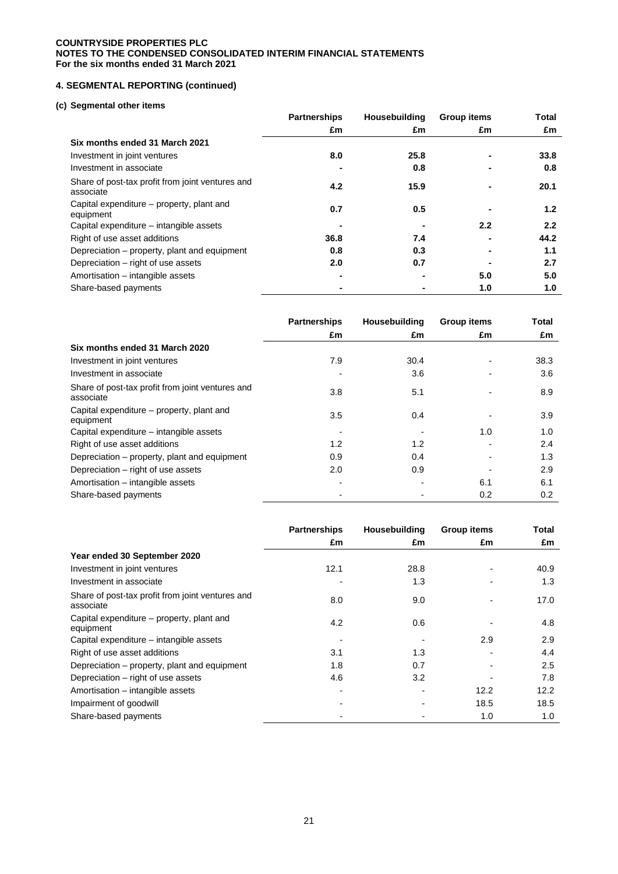# **4. SEGMENTAL REPORTING (continued)**

## **(c) Segmental other items**

|                                                               | <b>Partnerships</b> | Housebuilding | <b>Group items</b> | Total |
|---------------------------------------------------------------|---------------------|---------------|--------------------|-------|
|                                                               | £m                  | £m            | £m                 | £m    |
| Six months ended 31 March 2021                                |                     |               |                    |       |
| Investment in joint ventures                                  | 8.0                 | 25.8          |                    | 33.8  |
| Investment in associate                                       |                     | 0.8           |                    | 0.8   |
| Share of post-tax profit from joint ventures and<br>associate | 4.2                 | 15.9          |                    | 20.1  |
| Capital expenditure – property, plant and<br>equipment        | 0.7                 | 0.5           |                    | 1.2   |
| Capital expenditure - intangible assets                       |                     |               | $2.2^{\circ}$      | 2.2   |
| Right of use asset additions                                  | 36.8                | 7.4           |                    | 44.2  |
| Depreciation – property, plant and equipment                  | 0.8                 | 0.3           |                    | 1.1   |
| Depreciation – right of use assets                            | 2.0                 | 0.7           |                    | 2.7   |
| Amortisation - intangible assets                              |                     |               | 5.0                | 5.0   |
| Share-based payments                                          |                     |               | 1.0                | 1.0   |

|                                                               | <b>Partnerships</b> | Housebuilding | <b>Group items</b> | Total |
|---------------------------------------------------------------|---------------------|---------------|--------------------|-------|
|                                                               | £m                  | £m            | £m                 | £m    |
| Six months ended 31 March 2020                                |                     |               |                    |       |
| Investment in joint ventures                                  | 7.9                 | 30.4          |                    | 38.3  |
| Investment in associate                                       |                     | 3.6           |                    | 3.6   |
| Share of post-tax profit from joint ventures and<br>associate | 3.8                 | 5.1           |                    | 8.9   |
| Capital expenditure – property, plant and<br>equipment        | 3.5                 | 0.4           |                    | 3.9   |
| Capital expenditure – intangible assets                       |                     |               | 1.0                | 1.0   |
| Right of use asset additions                                  | 1.2                 | 1.2           |                    | 2.4   |
| Depreciation – property, plant and equipment                  | 0.9                 | 0.4           |                    | 1.3   |
| Depreciation – right of use assets                            | 2.0                 | 0.9           |                    | 2.9   |
| Amortisation - intangible assets                              |                     |               | 6.1                | 6.1   |
| Share-based payments                                          |                     |               | 0.2                | 0.2   |

|                                                               | <b>Partnerships</b> | Housebuilding | <b>Group items</b> | Total |
|---------------------------------------------------------------|---------------------|---------------|--------------------|-------|
|                                                               | £m                  | £m            | £m                 | £m    |
| Year ended 30 September 2020                                  |                     |               |                    |       |
| Investment in joint ventures                                  | 12.1                | 28.8          |                    | 40.9  |
| Investment in associate                                       |                     | 1.3           |                    | 1.3   |
| Share of post-tax profit from joint ventures and<br>associate | 8.0                 | 9.0           |                    | 17.0  |
| Capital expenditure – property, plant and<br>equipment        | 4.2                 | 0.6           |                    | 4.8   |
| Capital expenditure – intangible assets                       |                     |               | 2.9                | 2.9   |
| Right of use asset additions                                  | 3.1                 | 1.3           |                    | 4.4   |
| Depreciation – property, plant and equipment                  | 1.8                 | 0.7           |                    | 2.5   |
| Depreciation – right of use assets                            | 4.6                 | 3.2           |                    | 7.8   |
| Amortisation - intangible assets                              |                     |               | 12.2               | 12.2  |
| Impairment of goodwill                                        |                     |               | 18.5               | 18.5  |
| Share-based payments                                          |                     |               | 1.0                | 1.0   |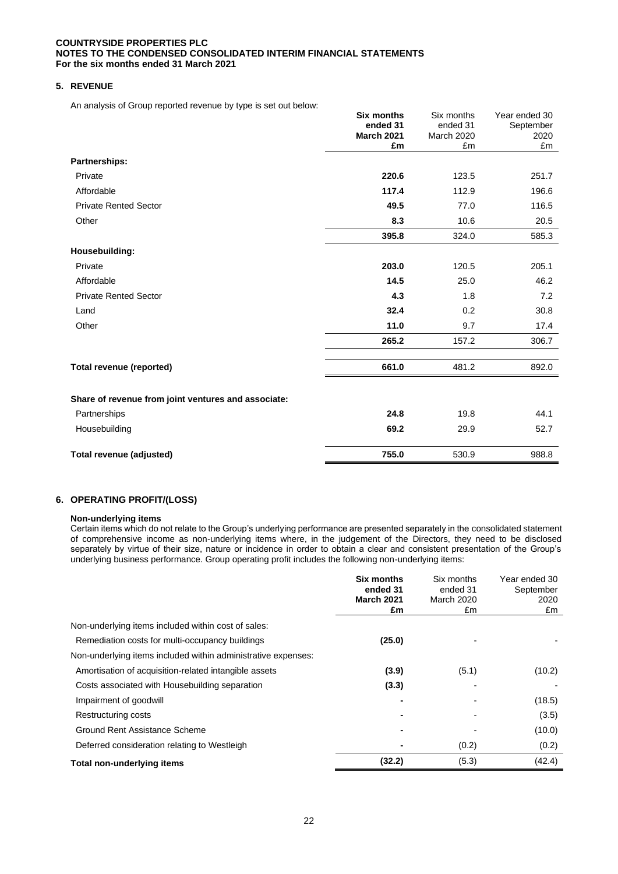# **5. REVENUE**

An analysis of Group reported revenue by type is set out below:

|                                                     | <b>Six months</b><br>ended 31 | Six months<br>ended 31 | Year ended 30<br>September |
|-----------------------------------------------------|-------------------------------|------------------------|----------------------------|
|                                                     | <b>March 2021</b>             | March 2020             | 2020                       |
|                                                     | £m                            | £m                     | £m                         |
| Partnerships:                                       |                               |                        |                            |
| Private                                             | 220.6                         | 123.5                  | 251.7                      |
| Affordable                                          | 117.4                         | 112.9                  | 196.6                      |
| <b>Private Rented Sector</b>                        | 49.5                          | 77.0                   | 116.5                      |
| Other                                               | 8.3                           | 10.6                   | 20.5                       |
|                                                     | 395.8                         | 324.0                  | 585.3                      |
| Housebuilding:                                      |                               |                        |                            |
| Private                                             | 203.0                         | 120.5                  | 205.1                      |
| Affordable                                          | 14.5                          | 25.0                   | 46.2                       |
| <b>Private Rented Sector</b>                        | 4.3                           | 1.8                    | 7.2                        |
| Land                                                | 32.4                          | 0.2                    | 30.8                       |
| Other                                               | 11.0                          | 9.7                    | 17.4                       |
|                                                     | 265.2                         | 157.2                  | 306.7                      |
| <b>Total revenue (reported)</b>                     | 661.0                         | 481.2                  | 892.0                      |
| Share of revenue from joint ventures and associate: |                               |                        |                            |
| Partnerships                                        | 24.8                          | 19.8                   | 44.1                       |
| Housebuilding                                       | 69.2                          | 29.9                   | 52.7                       |
| Total revenue (adjusted)                            | 755.0                         | 530.9                  | 988.8                      |

 $\mathbb{R}^2$ 

# **6. OPERATING PROFIT/(LOSS)**

#### **Non-underlying items**

Certain items which do not relate to the Group's underlying performance are presented separately in the consolidated statement of comprehensive income as non-underlying items where, in the judgement of the Directors, they need to be disclosed separately by virtue of their size, nature or incidence in order to obtain a clear and consistent presentation of the Group's underlying business performance. Group operating profit includes the following non-underlying items:

|                                                               | <b>Six months</b><br>ended 31<br><b>March 2021</b><br>£m | Six months<br>ended 31<br><b>March 2020</b><br>£m | Year ended 30<br>September<br>2020<br>£m |
|---------------------------------------------------------------|----------------------------------------------------------|---------------------------------------------------|------------------------------------------|
| Non-underlying items included within cost of sales:           |                                                          |                                                   |                                          |
| Remediation costs for multi-occupancy buildings               | (25.0)                                                   |                                                   |                                          |
| Non-underlying items included within administrative expenses: |                                                          |                                                   |                                          |
| Amortisation of acquisition-related intangible assets         | (3.9)                                                    | (5.1)                                             | (10.2)                                   |
| Costs associated with Housebuilding separation                | (3.3)                                                    |                                                   |                                          |
| Impairment of goodwill                                        |                                                          |                                                   | (18.5)                                   |
| Restructuring costs                                           |                                                          |                                                   | (3.5)                                    |
| Ground Rent Assistance Scheme                                 |                                                          |                                                   | (10.0)                                   |
| Deferred consideration relating to Westleigh                  |                                                          | (0.2)                                             | (0.2)                                    |
| Total non-underlying items                                    | (32.2)                                                   | (5.3)                                             | (42.4)                                   |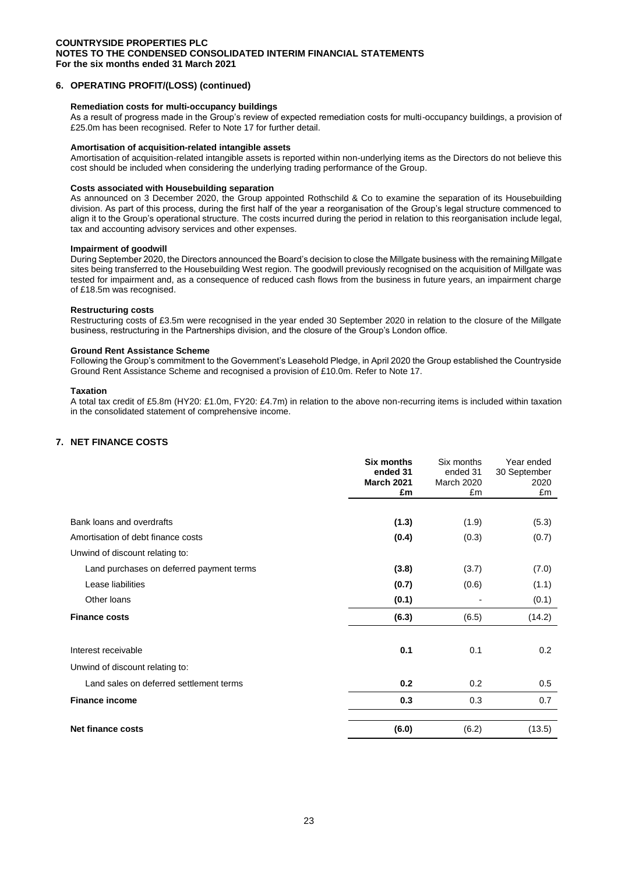### **6. OPERATING PROFIT/(LOSS) (continued)**

### **Remediation costs for multi-occupancy buildings**

As a result of progress made in the Group's review of expected remediation costs for multi-occupancy buildings, a provision of £25.0m has been recognised. Refer to Note 17 for further detail.

#### **Amortisation of acquisition-related intangible assets**

Amortisation of acquisition-related intangible assets is reported within non-underlying items as the Directors do not believe this cost should be included when considering the underlying trading performance of the Group.

### **Costs associated with Housebuilding separation**

As announced on 3 December 2020, the Group appointed Rothschild & Co to examine the separation of its Housebuilding division. As part of this process, during the first half of the year a reorganisation of the Group's legal structure commenced to align it to the Group's operational structure. The costs incurred during the period in relation to this reorganisation include legal, tax and accounting advisory services and other expenses*.* 

### **Impairment of goodwill**

During September 2020, the Directors announced the Board's decision to close the Millgate business with the remaining Millgate sites being transferred to the Housebuilding West region. The goodwill previously recognised on the acquisition of Millgate was tested for impairment and, as a consequence of reduced cash flows from the business in future years, an impairment charge of £18.5m was recognised.

#### **Restructuring costs**

Restructuring costs of £3.5m were recognised in the year ended 30 September 2020 in relation to the closure of the Millgate business, restructuring in the Partnerships division, and the closure of the Group's London office.

### **Ground Rent Assistance Scheme**

Following the Group's commitment to the Government's Leasehold Pledge, in April 2020 the Group established the Countryside Ground Rent Assistance Scheme and recognised a provision of £10.0m. Refer to Note 17.

### **Taxation**

A total tax credit of £5.8m (HY20: £1.0m, FY20: £4.7m) in relation to the above non-recurring items is included within taxation in the consolidated statement of comprehensive income.

### **7. NET FINANCE COSTS**

|                                          | Six months<br>ended 31<br><b>March 2021</b><br>£m | Six months<br>ended 31<br><b>March 2020</b><br>£m | Year ended<br>30 September<br>2020<br>£m |
|------------------------------------------|---------------------------------------------------|---------------------------------------------------|------------------------------------------|
|                                          |                                                   |                                                   |                                          |
| Bank loans and overdrafts                | (1.3)                                             | (1.9)                                             | (5.3)                                    |
| Amortisation of debt finance costs       | (0.4)                                             | (0.3)                                             | (0.7)                                    |
| Unwind of discount relating to:          |                                                   |                                                   |                                          |
| Land purchases on deferred payment terms | (3.8)                                             | (3.7)                                             | (7.0)                                    |
| Lease liabilities                        | (0.7)                                             | (0.6)                                             | (1.1)                                    |
| Other loans                              | (0.1)                                             |                                                   | (0.1)                                    |
| <b>Finance costs</b>                     | (6.3)                                             | (6.5)                                             | (14.2)                                   |
| Interest receivable                      | 0.1                                               | 0.1                                               | 0.2                                      |
| Unwind of discount relating to:          |                                                   |                                                   |                                          |
| Land sales on deferred settlement terms  | 0.2                                               | 0.2                                               | 0.5                                      |
| <b>Finance income</b>                    | 0.3                                               | 0.3                                               | 0.7                                      |
| <b>Net finance costs</b>                 | (6.0)                                             | (6.2)                                             | (13.5)                                   |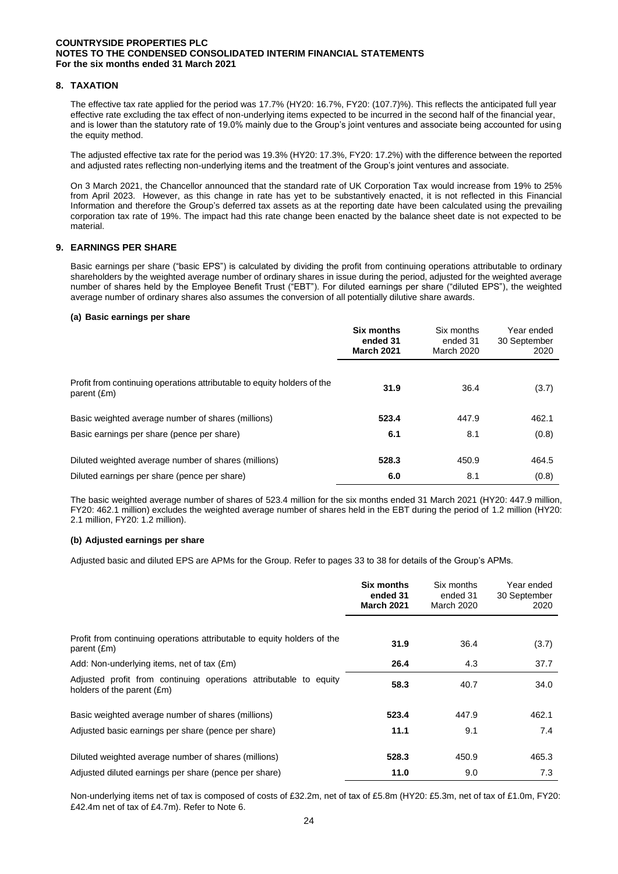## **8. TAXATION**

The effective tax rate applied for the period was 17.7% (HY20: 16.7%, FY20: (107.7)%). This reflects the anticipated full year effective rate excluding the tax effect of non-underlying items expected to be incurred in the second half of the financial year, and is lower than the statutory rate of 19.0% mainly due to the Group's joint ventures and associate being accounted for using the equity method.

The adjusted effective tax rate for the period was 19.3% (HY20: 17.3%, FY20: 17.2%) with the difference between the reported and adjusted rates reflecting non-underlying items and the treatment of the Group's joint ventures and associate.

On 3 March 2021, the Chancellor announced that the standard rate of UK Corporation Tax would increase from 19% to 25% from April 2023. However, as this change in rate has yet to be substantively enacted, it is not reflected in this Financial Information and therefore the Group's deferred tax assets as at the reporting date have been calculated using the prevailing corporation tax rate of 19%. The impact had this rate change been enacted by the balance sheet date is not expected to be material.

### **9. EARNINGS PER SHARE**

Basic earnings per share ("basic EPS") is calculated by dividing the profit from continuing operations attributable to ordinary shareholders by the weighted average number of ordinary shares in issue during the period, adjusted for the weighted average number of shares held by the Employee Benefit Trust ("EBT"). For diluted earnings per share ("diluted EPS"), the weighted average number of ordinary shares also assumes the conversion of all potentially dilutive share awards.

### **(a) Basic earnings per share**

|                                                                                        | Six months<br>ended 31<br><b>March 2021</b> | Six months<br>ended 31<br><b>March 2020</b> | Year ended<br>30 September<br>2020 |
|----------------------------------------------------------------------------------------|---------------------------------------------|---------------------------------------------|------------------------------------|
| Profit from continuing operations attributable to equity holders of the<br>parent (£m) | 31.9                                        | 36.4                                        | (3.7)                              |
| Basic weighted average number of shares (millions)                                     | 523.4                                       | 447.9                                       | 462.1                              |
| Basic earnings per share (pence per share)                                             | 6.1                                         | 8.1                                         | (0.8)                              |
| Diluted weighted average number of shares (millions)                                   | 528.3                                       | 450.9                                       | 464.5                              |
| Diluted earnings per share (pence per share)                                           | 6.0                                         | 8.1                                         | (0.8)                              |

The basic weighted average number of shares of 523.4 million for the six months ended 31 March 2021 (HY20: 447.9 million, FY20: 462.1 million) excludes the weighted average number of shares held in the EBT during the period of 1.2 million (HY20: 2.1 million, FY20: 1.2 million).

### **(b) Adjusted earnings per share**

Adjusted basic and diluted EPS are APMs for the Group. Refer to pages 33 to 38 for details of the Group's APMs.

|                                                                                                 | Six months<br>ended 31<br><b>March 2021</b> | Six months<br>ended 31<br><b>March 2020</b> | Year ended<br>30 September<br>2020 |
|-------------------------------------------------------------------------------------------------|---------------------------------------------|---------------------------------------------|------------------------------------|
|                                                                                                 |                                             |                                             |                                    |
| Profit from continuing operations attributable to equity holders of the<br>parent (£m)          | 31.9                                        | 36.4                                        | (3.7)                              |
| Add: Non-underlying items, net of tax (£m)                                                      | 26.4                                        | 4.3                                         | 37.7                               |
| Adjusted profit from continuing operations attributable to equity<br>holders of the parent (£m) | 58.3                                        | 40.7                                        | 34.0                               |
| Basic weighted average number of shares (millions)                                              | 523.4                                       | 447.9                                       | 462.1                              |
| Adjusted basic earnings per share (pence per share)                                             | 11.1                                        | 9.1                                         | 7.4                                |
| Diluted weighted average number of shares (millions)                                            | 528.3                                       | 450.9                                       | 465.3                              |
| Adjusted diluted earnings per share (pence per share)                                           | 11.0                                        | 9.0                                         | 7.3                                |

Non-underlying items net of tax is composed of costs of £32.2m, net of tax of £5.8m (HY20: £5.3m, net of tax of £1.0m, FY20: £42.4m net of tax of £4.7m). Refer to Note 6.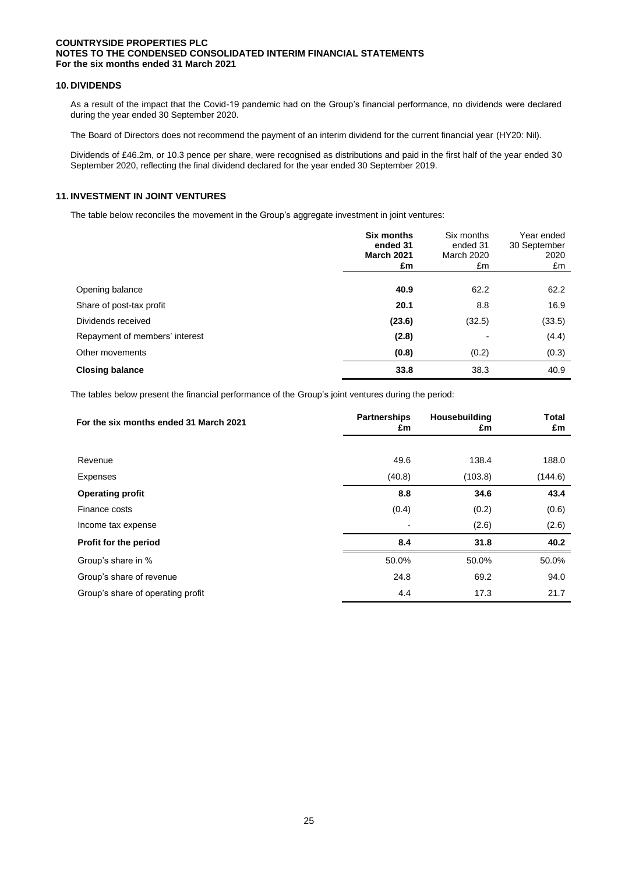# **10. DIVIDENDS**

As a result of the impact that the Covid-19 pandemic had on the Group's financial performance, no dividends were declared during the year ended 30 September 2020.

The Board of Directors does not recommend the payment of an interim dividend for the current financial year (HY20: Nil).

Dividends of £46.2m, or 10.3 pence per share, were recognised as distributions and paid in the first half of the year ended 30 September 2020, reflecting the final dividend declared for the year ended 30 September 2019.

### **11. INVESTMENT IN JOINT VENTURES**

The table below reconciles the movement in the Group's aggregate investment in joint ventures:

|                                | <b>Six months</b><br>ended 31<br><b>March 2021</b><br>£m | Six months<br>ended 31<br>March 2020<br>£m | Year ended<br>30 September<br>2020<br>£m |
|--------------------------------|----------------------------------------------------------|--------------------------------------------|------------------------------------------|
|                                |                                                          |                                            |                                          |
| Opening balance                | 40.9                                                     | 62.2                                       | 62.2                                     |
| Share of post-tax profit       | 20.1                                                     | 8.8                                        | 16.9                                     |
| Dividends received             | (23.6)                                                   | (32.5)                                     | (33.5)                                   |
| Repayment of members' interest | (2.8)                                                    |                                            | (4.4)                                    |
| Other movements                | (0.8)                                                    | (0.2)                                      | (0.3)                                    |
| <b>Closing balance</b>         | 33.8                                                     | 38.3                                       | 40.9                                     |

The tables below present the financial performance of the Group's joint ventures during the period:

| For the six months ended 31 March 2021 | <b>Partnerships</b><br>£m | Housebuilding<br>£m | <b>Total</b><br>£m |
|----------------------------------------|---------------------------|---------------------|--------------------|
|                                        |                           |                     |                    |
| Revenue                                | 49.6                      | 138.4               | 188.0              |
| Expenses                               | (40.8)                    | (103.8)             | (144.6)            |
| <b>Operating profit</b>                | 8.8                       | 34.6                | 43.4               |
| Finance costs                          | (0.4)                     | (0.2)               | (0.6)              |
| Income tax expense                     | $\overline{\phantom{0}}$  | (2.6)               | (2.6)              |
| Profit for the period                  | 8.4                       | 31.8                | 40.2               |
| Group's share in %                     | 50.0%                     | 50.0%               | 50.0%              |
| Group's share of revenue               | 24.8                      | 69.2                | 94.0               |
| Group's share of operating profit      | 4.4                       | 17.3                | 21.7               |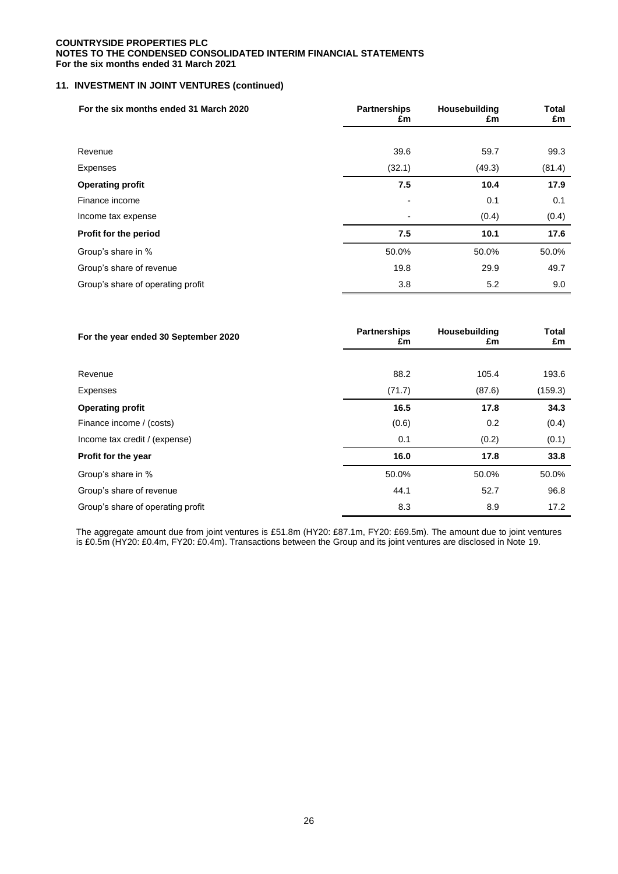# **11. INVESTMENT IN JOINT VENTURES (continued)**

| For the six months ended 31 March 2020 | <b>Partnerships</b><br>Housebuilding<br>£m<br>£m |        |        |  | <b>Total</b><br>£m |
|----------------------------------------|--------------------------------------------------|--------|--------|--|--------------------|
|                                        |                                                  |        |        |  |                    |
| Revenue                                | 39.6                                             | 59.7   | 99.3   |  |                    |
| Expenses                               | (32.1)                                           | (49.3) | (81.4) |  |                    |
| <b>Operating profit</b>                | 7.5                                              | 10.4   | 17.9   |  |                    |
| Finance income                         | $\blacksquare$                                   | 0.1    | 0.1    |  |                    |
| Income tax expense                     |                                                  | (0.4)  | (0.4)  |  |                    |
| Profit for the period                  | 7.5                                              | 10.1   | 17.6   |  |                    |
| Group's share in %                     | 50.0%                                            | 50.0%  | 50.0%  |  |                    |
| Group's share of revenue               | 19.8                                             | 29.9   | 49.7   |  |                    |
| Group's share of operating profit      | 3.8                                              | 5.2    | 9.0    |  |                    |

| For the year ended 30 September 2020 | <b>Partnerships</b><br>£m | Housebuilding<br>£m | <b>Total</b><br>£m |  |
|--------------------------------------|---------------------------|---------------------|--------------------|--|
|                                      |                           |                     |                    |  |
| Revenue                              | 88.2                      | 105.4               | 193.6              |  |
| Expenses                             | (71.7)                    | (87.6)              | (159.3)            |  |
| <b>Operating profit</b>              | 16.5                      | 17.8                | 34.3               |  |
| Finance income / (costs)             | (0.6)                     | 0.2                 | (0.4)              |  |
| Income tax credit / (expense)        | 0.1                       | (0.2)               | (0.1)              |  |
| Profit for the year                  | 16.0                      | 17.8                | 33.8               |  |
| Group's share in %                   | 50.0%                     | 50.0%               | 50.0%              |  |
| Group's share of revenue             | 44.1                      | 52.7                | 96.8               |  |
| Group's share of operating profit    | 8.3                       | 8.9                 | 17.2               |  |

The aggregate amount due from joint ventures is £51.8m (HY20: £87.1m, FY20: £69.5m). The amount due to joint ventures is £0.5m (HY20: £0.4m, FY20: £0.4m). Transactions between the Group and its joint ventures are disclosed in Note 19.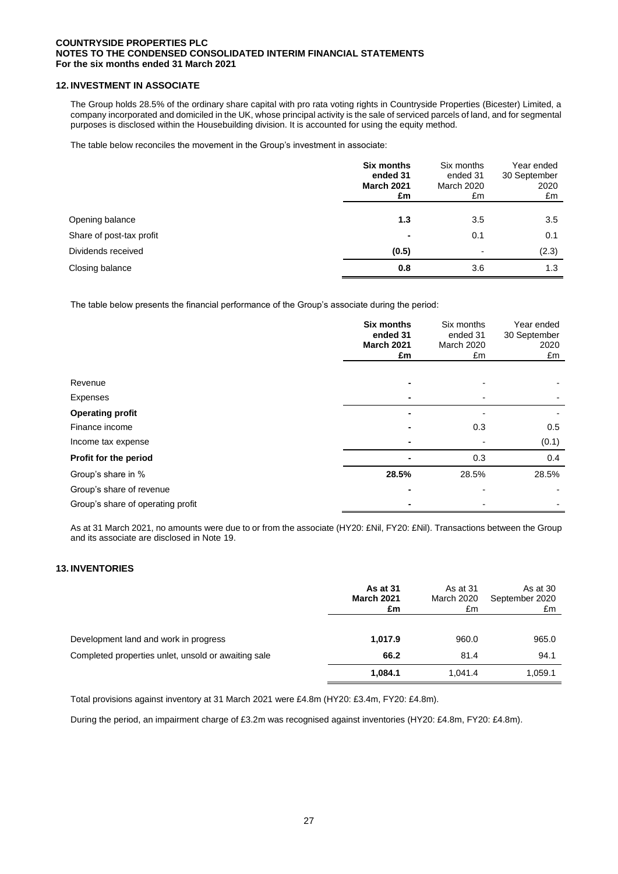## **12. INVESTMENT IN ASSOCIATE**

The Group holds 28.5% of the ordinary share capital with pro rata voting rights in Countryside Properties (Bicester) Limited, a company incorporated and domiciled in the UK, whose principal activity is the sale of serviced parcels of land, and for segmental purposes is disclosed within the Housebuilding division. It is accounted for using the equity method.

The table below reconciles the movement in the Group's investment in associate:

|                          | Six months<br>ended 31<br><b>March 2021</b><br>£m | Six months<br>ended 31<br><b>March 2020</b><br>£m | Year ended<br>30 September<br>2020<br>£m |
|--------------------------|---------------------------------------------------|---------------------------------------------------|------------------------------------------|
|                          | 1.3                                               |                                                   |                                          |
| Opening balance          |                                                   | 3.5                                               | 3.5                                      |
| Share of post-tax profit | ۰                                                 | 0.1                                               | 0.1                                      |
| Dividends received       | (0.5)                                             | ٠                                                 | (2.3)                                    |
| Closing balance          | 0.8                                               | 3.6                                               | 1.3                                      |

The table below presents the financial performance of the Group's associate during the period:

|                                   | <b>Six months</b><br>ended 31<br><b>March 2021</b><br>£m | Six months<br>ended 31<br><b>March 2020</b><br>£m | Year ended<br>30 September<br>2020<br>£m |
|-----------------------------------|----------------------------------------------------------|---------------------------------------------------|------------------------------------------|
|                                   |                                                          |                                                   |                                          |
| Revenue                           |                                                          |                                                   |                                          |
| Expenses                          |                                                          |                                                   |                                          |
| <b>Operating profit</b>           |                                                          |                                                   |                                          |
| Finance income                    |                                                          | 0.3                                               | 0.5                                      |
| Income tax expense                |                                                          |                                                   | (0.1)                                    |
| Profit for the period             | ۰                                                        | 0.3                                               | 0.4                                      |
| Group's share in %                | 28.5%                                                    | 28.5%                                             | 28.5%                                    |
| Group's share of revenue          |                                                          |                                                   |                                          |
| Group's share of operating profit |                                                          |                                                   |                                          |

As at 31 March 2021, no amounts were due to or from the associate (HY20: £Nil, FY20: £Nil). Transactions between the Group and its associate are disclosed in Note 19.

## **13. INVENTORIES**

|                                                     | As at 31<br><b>March 2021</b><br>£m | As at 31<br>March 2020<br>£m | As at 30<br>September 2020<br>£m |
|-----------------------------------------------------|-------------------------------------|------------------------------|----------------------------------|
| Development land and work in progress               | 1,017.9                             | 960.0                        | 965.0                            |
| Completed properties unlet, unsold or awaiting sale | 66.2                                | 81.4                         | 94.1                             |
|                                                     | 1,084.1                             | 1.041.4                      | 1,059.1                          |

Total provisions against inventory at 31 March 2021 were £4.8m (HY20: £3.4m, FY20: £4.8m).

During the period, an impairment charge of £3.2m was recognised against inventories (HY20: £4.8m, FY20: £4.8m).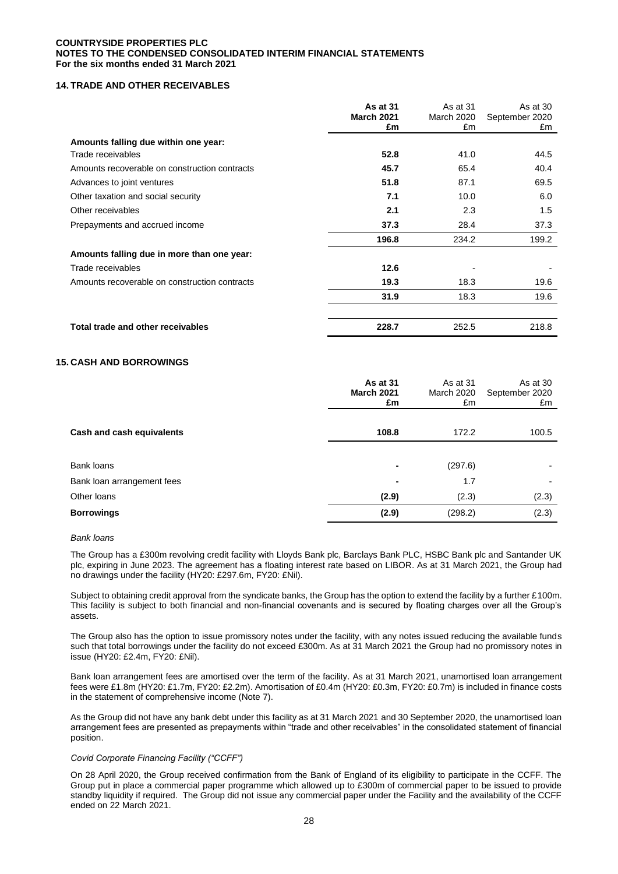## **14. TRADE AND OTHER RECEIVABLES**

|                                               | As at 31<br><b>March 2021</b><br>£m | As at 31<br><b>March 2020</b><br>£m | As at 30<br>September 2020<br>£m |
|-----------------------------------------------|-------------------------------------|-------------------------------------|----------------------------------|
| Amounts falling due within one year:          |                                     |                                     |                                  |
| Trade receivables                             | 52.8                                | 41.0                                | 44.5                             |
| Amounts recoverable on construction contracts | 45.7                                | 65.4                                | 40.4                             |
| Advances to joint ventures                    | 51.8                                | 87.1                                | 69.5                             |
| Other taxation and social security            | 7.1                                 | 10.0                                | 6.0                              |
| Other receivables                             | 2.1                                 | 2.3                                 | 1.5                              |
| Prepayments and accrued income                | 37.3                                | 28.4                                | 37.3                             |
|                                               | 196.8                               | 234.2                               | 199.2                            |
| Amounts falling due in more than one year:    |                                     |                                     |                                  |
| Trade receivables                             | 12.6                                |                                     |                                  |
| Amounts recoverable on construction contracts | 19.3                                | 18.3                                | 19.6                             |
|                                               | 31.9                                | 18.3                                | 19.6                             |
| Total trade and other receivables             | 228.7                               | 252.5                               | 218.8                            |

### **15. CASH AND BORROWINGS**

|                            | As at 31<br><b>March 2021</b><br>£m | As at 31<br>March 2020<br>£m | As at 30<br>September 2020<br>£m |
|----------------------------|-------------------------------------|------------------------------|----------------------------------|
| Cash and cash equivalents  | 108.8                               | 172.2                        | 100.5                            |
| Bank loans                 |                                     | (297.6)                      |                                  |
| Bank loan arrangement fees |                                     | 1.7                          |                                  |
| Other loans                | (2.9)                               | (2.3)                        | (2.3)                            |
| <b>Borrowings</b>          | (2.9)                               | (298.2)                      | (2.3)                            |

#### *Bank loans*

The Group has a £300m revolving credit facility with Lloyds Bank plc, Barclays Bank PLC, HSBC Bank plc and Santander UK plc, expiring in June 2023. The agreement has a floating interest rate based on LIBOR. As at 31 March 2021, the Group had no drawings under the facility (HY20: £297.6m, FY20: £Nil).

Subject to obtaining credit approval from the syndicate banks, the Group has the option to extend the facility by a further £100m. This facility is subject to both financial and non-financial covenants and is secured by floating charges over all the Group's assets.

The Group also has the option to issue promissory notes under the facility, with any notes issued reducing the available funds such that total borrowings under the facility do not exceed £300m. As at 31 March 2021 the Group had no promissory notes in issue (HY20: £2.4m, FY20: £Nil).

Bank loan arrangement fees are amortised over the term of the facility. As at 31 March 2021, unamortised loan arrangement fees were £1.8m (HY20: £1.7m, FY20: £2.2m). Amortisation of £0.4m (HY20: £0.3m, FY20: £0.7m) is included in finance costs in the statement of comprehensive income (Note 7).

As the Group did not have any bank debt under this facility as at 31 March 2021 and 30 September 2020, the unamortised loan arrangement fees are presented as prepayments within "trade and other receivables" in the consolidated statement of financial position.

### *Covid Corporate Financing Facility ("CCFF")*

On 28 April 2020, the Group received confirmation from the Bank of England of its eligibility to participate in the CCFF. The Group put in place a commercial paper programme which allowed up to £300m of commercial paper to be issued to provide standby liquidity if required. The Group did not issue any commercial paper under the Facility and the availability of the CCFF ended on 22 March 2021.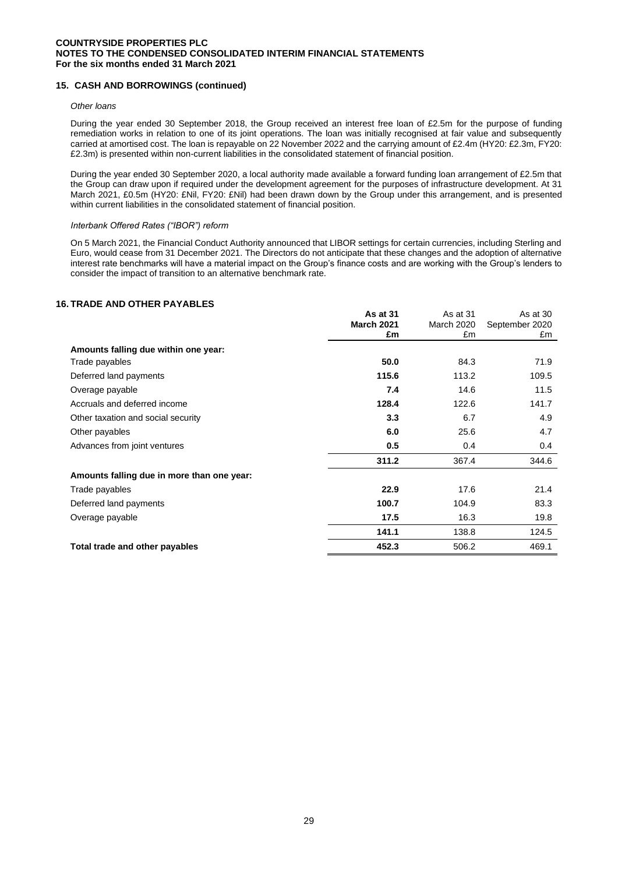## **15. CASH AND BORROWINGS (continued)**

### *Other loans*

During the year ended 30 September 2018, the Group received an interest free loan of £2.5m for the purpose of funding remediation works in relation to one of its joint operations. The loan was initially recognised at fair value and subsequently carried at amortised cost. The loan is repayable on 22 November 2022 and the carrying amount of £2.4m (HY20: £2.3m, FY20: £2.3m) is presented within non-current liabilities in the consolidated statement of financial position.

During the year ended 30 September 2020, a local authority made available a forward funding loan arrangement of £2.5m that the Group can draw upon if required under the development agreement for the purposes of infrastructure development. At 31 March 2021, £0.5m (HY20: £Nil, FY20: £Nil) had been drawn down by the Group under this arrangement, and is presented within current liabilities in the consolidated statement of financial position.

### *Interbank Offered Rates ("IBOR") reform*

On 5 March 2021, the Financial Conduct Authority announced that LIBOR settings for certain currencies, including Sterling and Euro, would cease from 31 December 2021. The Directors do not anticipate that these changes and the adoption of alternative interest rate benchmarks will have a material impact on the Group's finance costs and are working with the Group's lenders to consider the impact of transition to an alternative benchmark rate.

## **16. TRADE AND OTHER PAYABLES**

|                                            | As at 31          | As at 31          | As at 30       |
|--------------------------------------------|-------------------|-------------------|----------------|
|                                            | <b>March 2021</b> | <b>March 2020</b> | September 2020 |
|                                            | £m                | £m                | £m             |
| Amounts falling due within one year:       |                   |                   |                |
| Trade payables                             | 50.0              | 84.3              | 71.9           |
| Deferred land payments                     | 115.6             | 113.2             | 109.5          |
| Overage payable                            | 7.4               | 14.6              | 11.5           |
| Accruals and deferred income               | 128.4             | 122.6             | 141.7          |
| Other taxation and social security         | 3.3               | 6.7               | 4.9            |
| Other payables                             | 6.0               | 25.6              | 4.7            |
| Advances from joint ventures               | 0.5               | 0.4               | 0.4            |
|                                            | 311.2             | 367.4             | 344.6          |
| Amounts falling due in more than one year: |                   |                   |                |
| Trade payables                             | 22.9              | 17.6              | 21.4           |
| Deferred land payments                     | 100.7             | 104.9             | 83.3           |
| Overage payable                            | 17.5              | 16.3              | 19.8           |
|                                            | 141.1             | 138.8             | 124.5          |
| Total trade and other payables             | 452.3             | 506.2             | 469.1          |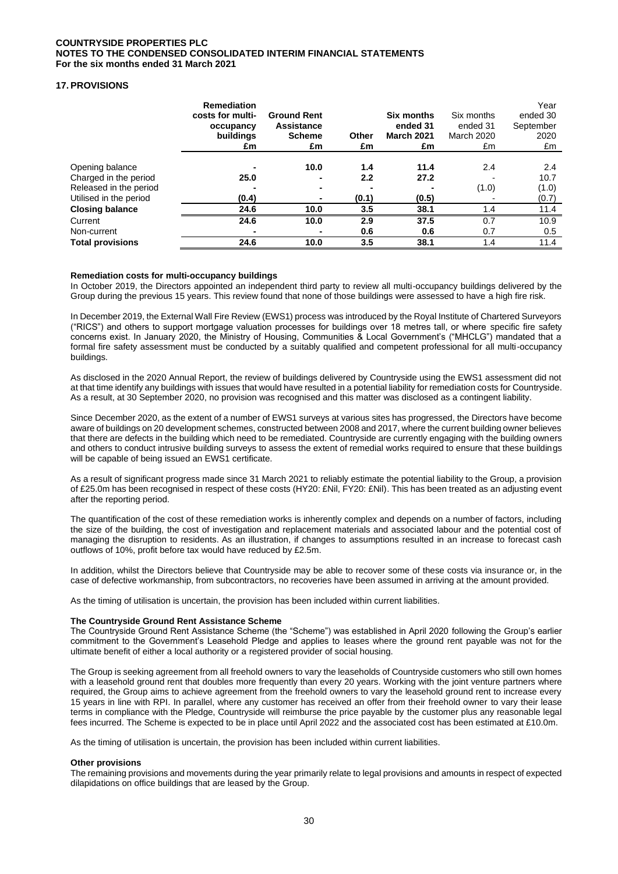# **17. PROVISIONS**

|                         | <b>Remediation</b><br>costs for multi-<br>occupancy<br>buildings<br>£m | <b>Ground Rent</b><br><b>Assistance</b><br><b>Scheme</b><br>£m | Other<br>£m | Six months<br>ended 31<br><b>March 2021</b><br>£m | Six months<br>ended 31<br><b>March 2020</b><br>£m | Year<br>ended 30<br>September<br>2020<br>£m |
|-------------------------|------------------------------------------------------------------------|----------------------------------------------------------------|-------------|---------------------------------------------------|---------------------------------------------------|---------------------------------------------|
|                         |                                                                        |                                                                |             |                                                   |                                                   |                                             |
| Opening balance         |                                                                        | 10.0                                                           | 1.4         | 11.4                                              | 2.4                                               | 2.4                                         |
| Charged in the period   | 25.0                                                                   |                                                                | 2.2         | 27.2                                              |                                                   | 10.7                                        |
| Released in the period  |                                                                        |                                                                |             |                                                   | (1.0)                                             | (1.0)                                       |
| Utilised in the period  | (0.4)                                                                  |                                                                | (0.1)       | (0.5)                                             |                                                   | (0.7)                                       |
| <b>Closing balance</b>  | 24.6                                                                   | 10.0                                                           | 3.5         | 38.1                                              | 1.4                                               | 11.4                                        |
| Current                 | 24.6                                                                   | 10.0                                                           | 2.9         | 37.5                                              | 0.7                                               | 10.9                                        |
| Non-current             |                                                                        |                                                                | 0.6         | 0.6                                               | 0.7                                               | 0.5                                         |
| <b>Total provisions</b> | 24.6                                                                   | 10.0                                                           | 3.5         | 38.1                                              | 1.4                                               | 11.4                                        |

#### **Remediation costs for multi-occupancy buildings**

In October 2019, the Directors appointed an independent third party to review all multi-occupancy buildings delivered by the Group during the previous 15 years. This review found that none of those buildings were assessed to have a high fire risk.

In December 2019, the External Wall Fire Review (EWS1) process was introduced by the Royal Institute of Chartered Surveyors ("RICS") and others to support mortgage valuation processes for buildings over 18 metres tall, or where specific fire safety concerns exist. In January 2020, the Ministry of Housing, Communities & Local Government's ("MHCLG") mandated that a formal fire safety assessment must be conducted by a suitably qualified and competent professional for all multi-occupancy buildings.

As disclosed in the 2020 Annual Report, the review of buildings delivered by Countryside using the EWS1 assessment did not at that time identify any buildings with issues that would have resulted in a potential liability for remediation costs for Countryside. As a result, at 30 September 2020, no provision was recognised and this matter was disclosed as a contingent liability.

Since December 2020, as the extent of a number of EWS1 surveys at various sites has progressed, the Directors have become aware of buildings on 20 development schemes, constructed between 2008 and 2017, where the current building owner believes that there are defects in the building which need to be remediated. Countryside are currently engaging with the building owners and others to conduct intrusive building surveys to assess the extent of remedial works required to ensure that these buildings will be capable of being issued an EWS1 certificate.

As a result of significant progress made since 31 March 2021 to reliably estimate the potential liability to the Group, a provision of £25.0m has been recognised in respect of these costs (HY20: £Nil, FY20: £Nil). This has been treated as an adjusting event after the reporting period.

The quantification of the cost of these remediation works is inherently complex and depends on a number of factors, including the size of the building, the cost of investigation and replacement materials and associated labour and the potential cost of managing the disruption to residents. As an illustration, if changes to assumptions resulted in an increase to forecast cash outflows of 10%, profit before tax would have reduced by £2.5m.

In addition, whilst the Directors believe that Countryside may be able to recover some of these costs via insurance or, in the case of defective workmanship, from subcontractors, no recoveries have been assumed in arriving at the amount provided.

As the timing of utilisation is uncertain, the provision has been included within current liabilities.

#### **The Countryside Ground Rent Assistance Scheme**

The Countryside Ground Rent Assistance Scheme (the "Scheme") was established in April 2020 following the Group's earlier commitment to the Government's Leasehold Pledge and applies to leases where the ground rent payable was not for the ultimate benefit of either a local authority or a registered provider of social housing.

The Group is seeking agreement from all freehold owners to vary the leaseholds of Countryside customers who still own homes with a leasehold ground rent that doubles more frequently than every 20 years. Working with the joint venture partners where required, the Group aims to achieve agreement from the freehold owners to vary the leasehold ground rent to increase every 15 years in line with RPI. In parallel, where any customer has received an offer from their freehold owner to vary their lease terms in compliance with the Pledge, Countryside will reimburse the price payable by the customer plus any reasonable legal fees incurred. The Scheme is expected to be in place until April 2022 and the associated cost has been estimated at £10.0m.

As the timing of utilisation is uncertain, the provision has been included within current liabilities.

#### **Other provisions**

The remaining provisions and movements during the year primarily relate to legal provisions and amounts in respect of expected dilapidations on office buildings that are leased by the Group.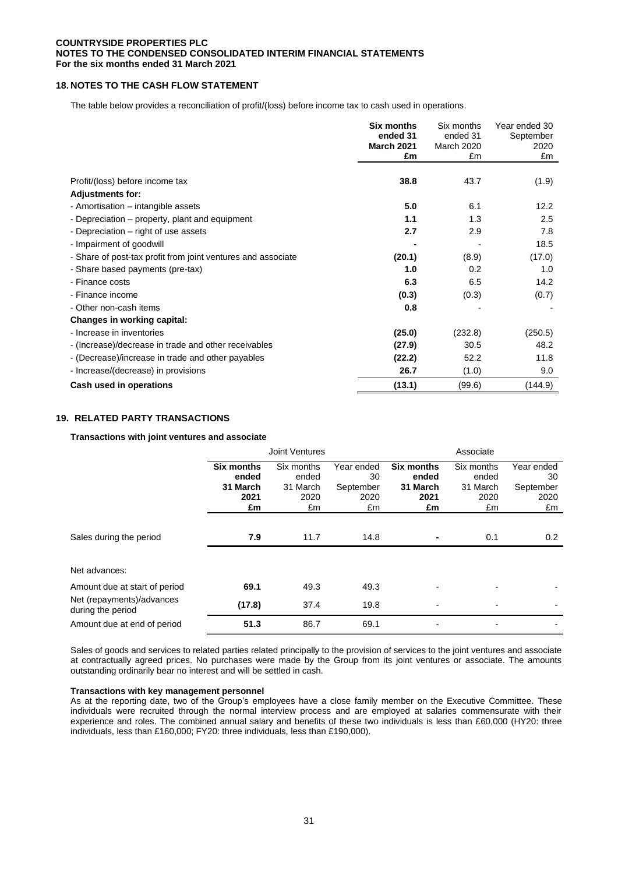## **18. NOTES TO THE CASH FLOW STATEMENT**

The table below provides a reconciliation of profit/(loss) before income tax to cash used in operations.

|                                                              | <b>Six months</b><br>ended 31<br><b>March 2021</b><br>£m | Six months<br>ended 31<br><b>March 2020</b><br>£m | Year ended 30<br>September<br>2020<br>£m |
|--------------------------------------------------------------|----------------------------------------------------------|---------------------------------------------------|------------------------------------------|
|                                                              |                                                          |                                                   |                                          |
| Profit/(loss) before income tax                              | 38.8                                                     | 43.7                                              | (1.9)                                    |
| <b>Adjustments for:</b>                                      |                                                          |                                                   |                                          |
| - Amortisation - intangible assets                           | 5.0                                                      | 6.1                                               | 12.2                                     |
| - Depreciation – property, plant and equipment               | 1.1                                                      | 1.3                                               | 2.5                                      |
| - Depreciation – right of use assets                         | 2.7                                                      | 2.9                                               | 7.8                                      |
| - Impairment of goodwill                                     |                                                          |                                                   | 18.5                                     |
| - Share of post-tax profit from joint ventures and associate | (20.1)                                                   | (8.9)                                             | (17.0)                                   |
| - Share based payments (pre-tax)                             | 1.0                                                      | 0.2                                               | 1.0                                      |
| - Finance costs                                              | 6.3                                                      | 6.5                                               | 14.2                                     |
| - Finance income                                             | (0.3)                                                    | (0.3)                                             | (0.7)                                    |
| - Other non-cash items                                       | 0.8                                                      |                                                   |                                          |
| Changes in working capital:                                  |                                                          |                                                   |                                          |
| - Increase in inventories                                    | (25.0)                                                   | (232.8)                                           | (250.5)                                  |
| - (Increase)/decrease in trade and other receivables         | (27.9)                                                   | 30.5                                              | 48.2                                     |
| - (Decrease)/increase in trade and other payables            | (22.2)                                                   | 52.2                                              | 11.8                                     |
| - Increase/(decrease) in provisions                          | 26.7                                                     | (1.0)                                             | 9.0                                      |
| Cash used in operations                                      | (13.1)                                                   | (99.6)                                            | (144.9)                                  |

## **19. RELATED PARTY TRANSACTIONS**

**Transactions with joint ventures and associate**

|                                                | Joint Ventures                                       |                                               |                                             | Associate                                     |                                               |                                             |
|------------------------------------------------|------------------------------------------------------|-----------------------------------------------|---------------------------------------------|-----------------------------------------------|-----------------------------------------------|---------------------------------------------|
|                                                | <b>Six months</b><br>ended<br>31 March<br>2021<br>£m | Six months<br>ended<br>31 March<br>2020<br>£m | Year ended<br>30<br>September<br>2020<br>£m | Six months<br>ended<br>31 March<br>2021<br>£m | Six months<br>ended<br>31 March<br>2020<br>£m | Year ended<br>30<br>September<br>2020<br>£m |
| Sales during the period                        | 7.9                                                  | 11.7                                          | 14.8                                        |                                               | 0.1                                           | 0.2                                         |
|                                                |                                                      |                                               |                                             |                                               |                                               |                                             |
| Net advances:                                  |                                                      |                                               |                                             |                                               |                                               |                                             |
| Amount due at start of period                  | 69.1                                                 | 49.3                                          | 49.3                                        |                                               |                                               |                                             |
| Net (repayments)/advances<br>during the period | (17.8)                                               | 37.4                                          | 19.8                                        | $\overline{\phantom{0}}$                      | ۰                                             |                                             |
| Amount due at end of period                    | 51.3                                                 | 86.7                                          | 69.1                                        |                                               |                                               |                                             |

Sales of goods and services to related parties related principally to the provision of services to the joint ventures and associate at contractually agreed prices. No purchases were made by the Group from its joint ventures or associate. The amounts outstanding ordinarily bear no interest and will be settled in cash.

### **Transactions with key management personnel**

As at the reporting date, two of the Group's employees have a close family member on the Executive Committee. These individuals were recruited through the normal interview process and are employed at salaries commensurate with their experience and roles. The combined annual salary and benefits of these two individuals is less than £60,000 (HY20: three individuals, less than £160,000; FY20: three individuals, less than £190,000).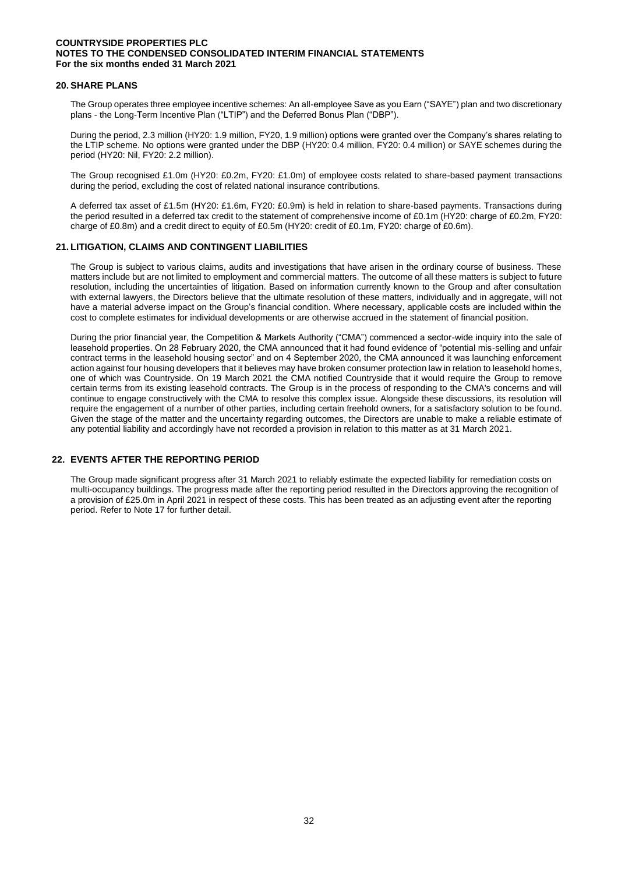### **20. SHARE PLANS**

The Group operates three employee incentive schemes: An all-employee Save as you Earn ("SAYE") plan and two discretionary plans - the Long-Term Incentive Plan ("LTIP") and the Deferred Bonus Plan ("DBP").

During the period, 2.3 million (HY20: 1.9 million, FY20, 1.9 million) options were granted over the Company's shares relating to the LTIP scheme. No options were granted under the DBP (HY20: 0.4 million, FY20: 0.4 million) or SAYE schemes during the period (HY20: Nil, FY20: 2.2 million).

The Group recognised £1.0m (HY20: £0.2m, FY20: £1.0m) of employee costs related to share-based payment transactions during the period, excluding the cost of related national insurance contributions.

A deferred tax asset of £1.5m (HY20: £1.6m, FY20: £0.9m) is held in relation to share-based payments. Transactions during the period resulted in a deferred tax credit to the statement of comprehensive income of £0.1m (HY20: charge of £0.2m, FY20: charge of £0.8m) and a credit direct to equity of £0.5m (HY20: credit of £0.1m, FY20: charge of £0.6m).

### **21. LITIGATION, CLAIMS AND CONTINGENT LIABILITIES**

The Group is subject to various claims, audits and investigations that have arisen in the ordinary course of business. These matters include but are not limited to employment and commercial matters. The outcome of all these matters is subject to future resolution, including the uncertainties of litigation. Based on information currently known to the Group and after consultation with external lawyers, the Directors believe that the ultimate resolution of these matters, individually and in aggregate, will not have a material adverse impact on the Group's financial condition. Where necessary, applicable costs are included within the cost to complete estimates for individual developments or are otherwise accrued in the statement of financial position.

During the prior financial year, the Competition & Markets Authority ("CMA") commenced a sector-wide inquiry into the sale of leasehold properties. On 28 February 2020, the CMA announced that it had found evidence of "potential mis-selling and unfair contract terms in the leasehold housing sector" and on 4 September 2020, the CMA announced it was launching enforcement action against four housing developers that it believes may have broken consumer protection law in relation to leasehold homes, one of which was Countryside. On 19 March 2021 the CMA notified Countryside that it would require the Group to remove certain terms from its existing leasehold contracts. The Group is in the process of responding to the CMA's concerns and will continue to engage constructively with the CMA to resolve this complex issue. Alongside these discussions, its resolution will require the engagement of a number of other parties, including certain freehold owners, for a satisfactory solution to be found. Given the stage of the matter and the uncertainty regarding outcomes, the Directors are unable to make a reliable estimate of any potential liability and accordingly have not recorded a provision in relation to this matter as at 31 March 2021.

## **22. EVENTS AFTER THE REPORTING PERIOD**

The Group made significant progress after 31 March 2021 to reliably estimate the expected liability for remediation costs on multi-occupancy buildings. The progress made after the reporting period resulted in the Directors approving the recognition of a provision of £25.0m in April 2021 in respect of these costs. This has been treated as an adjusting event after the reporting period. Refer to Note 17 for further detail.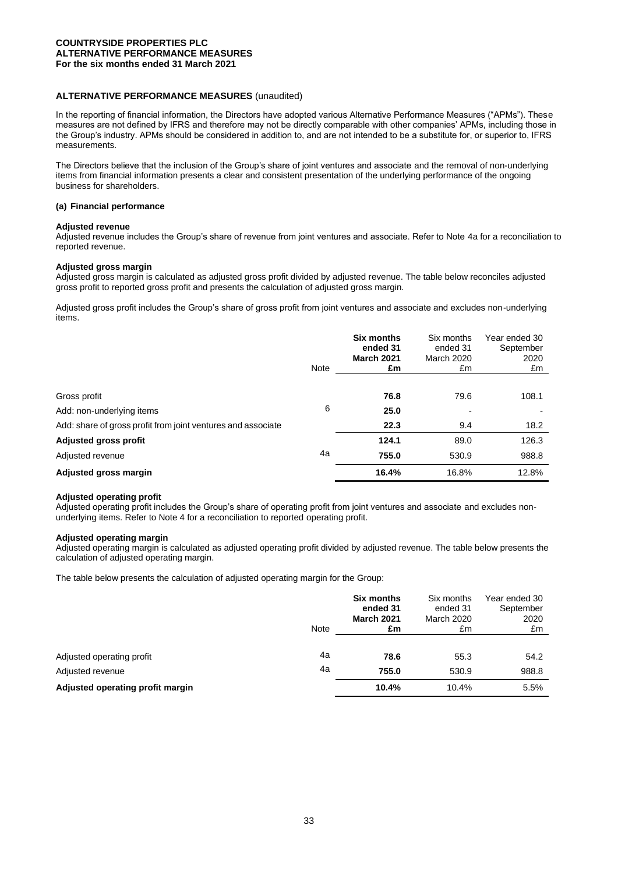## **ALTERNATIVE PERFORMANCE MEASURES** (unaudited)

In the reporting of financial information, the Directors have adopted various Alternative Performance Measures ("APMs"). These measures are not defined by IFRS and therefore may not be directly comparable with other companies' APMs, including those in the Group's industry. APMs should be considered in addition to, and are not intended to be a substitute for, or superior to, IFRS measurements.

The Directors believe that the inclusion of the Group's share of joint ventures and associate and the removal of non-underlying items from financial information presents a clear and consistent presentation of the underlying performance of the ongoing business for shareholders.

### **(a) Financial performance**

### **Adjusted revenue**

Adjusted revenue includes the Group's share of revenue from joint ventures and associate. Refer to Note 4a for a reconciliation to reported revenue.

### **Adjusted gross margin**

Adjusted gross margin is calculated as adjusted gross profit divided by adjusted revenue. The table below reconciles adjusted gross profit to reported gross profit and presents the calculation of adjusted gross margin.

Adjusted gross profit includes the Group's share of gross profit from joint ventures and associate and excludes non-underlying items.

|                                                              | Note | Six months<br>ended 31<br><b>March 2021</b><br>£m | Six months<br>ended 31<br><b>March 2020</b><br>£m | Year ended 30<br>September<br>2020<br>£m |
|--------------------------------------------------------------|------|---------------------------------------------------|---------------------------------------------------|------------------------------------------|
|                                                              |      |                                                   |                                                   |                                          |
| Gross profit                                                 |      | 76.8                                              | 79.6                                              | 108.1                                    |
| Add: non-underlying items                                    | 6    | 25.0                                              |                                                   |                                          |
| Add: share of gross profit from joint ventures and associate |      | 22.3                                              | 9.4                                               | 18.2                                     |
| Adjusted gross profit                                        |      | 124.1                                             | 89.0                                              | 126.3                                    |
| Adjusted revenue                                             | 4a   | 755.0                                             | 530.9                                             | 988.8                                    |
| Adjusted gross margin                                        |      | 16.4%                                             | 16.8%                                             | 12.8%                                    |

#### **Adjusted operating profit**

Adjusted operating profit includes the Group's share of operating profit from joint ventures and associate and excludes nonunderlying items. Refer to Note 4 for a reconciliation to reported operating profit.

#### **Adjusted operating margin**

Adjusted operating margin is calculated as adjusted operating profit divided by adjusted revenue. The table below presents the calculation of adjusted operating margin.

The table below presents the calculation of adjusted operating margin for the Group:

|                                  | Note | <b>Six months</b><br>ended 31<br><b>March 2021</b><br>£m | Six months<br>ended 31<br><b>March 2020</b><br>£m | Year ended 30<br>September<br>2020<br>£m |
|----------------------------------|------|----------------------------------------------------------|---------------------------------------------------|------------------------------------------|
| Adjusted operating profit        | 4a   | 78.6                                                     | 55.3                                              | 54.2                                     |
| Adjusted revenue                 | 4a   | 755.0                                                    | 530.9                                             | 988.8                                    |
| Adjusted operating profit margin |      | 10.4%                                                    | 10.4%                                             | 5.5%                                     |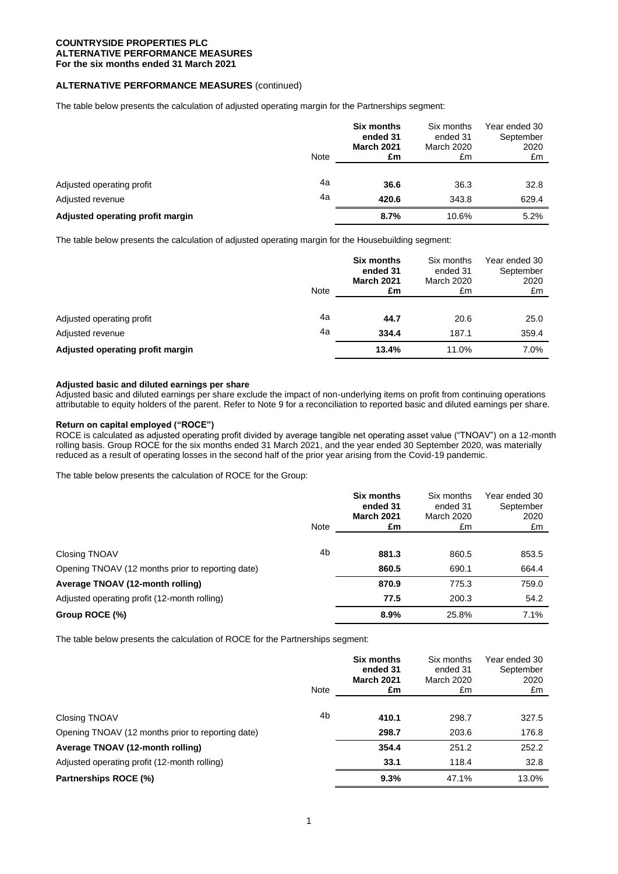## **ALTERNATIVE PERFORMANCE MEASURES** (continued)

The table below presents the calculation of adjusted operating margin for the Partnerships segment:

|                                               | <b>Note</b> | Six months<br>ended 31<br><b>March 2021</b><br>£m | Six months<br>ended 31<br>March 2020<br>£m | Year ended 30<br>September<br>2020<br>£m |
|-----------------------------------------------|-------------|---------------------------------------------------|--------------------------------------------|------------------------------------------|
| Adjusted operating profit<br>Adjusted revenue | 4a<br>4a    | 36.6<br>420.6                                     | 36.3<br>343.8                              | 32.8<br>629.4                            |
| Adjusted operating profit margin              |             | 8.7%                                              | 10.6%                                      | 5.2%                                     |

The table below presents the calculation of adjusted operating margin for the Housebuilding segment:

|                                               | <b>Note</b> | <b>Six months</b><br>ended 31<br><b>March 2021</b><br>£m | Six months<br>ended 31<br><b>March 2020</b><br>£m | Year ended 30<br>September<br>2020<br>£m |
|-----------------------------------------------|-------------|----------------------------------------------------------|---------------------------------------------------|------------------------------------------|
| Adjusted operating profit<br>Adjusted revenue | 4a<br>4a    | 44.7<br>334.4                                            | 20.6<br>187.1                                     | 25.0<br>359.4                            |
| Adjusted operating profit margin              |             | 13.4%                                                    | 11.0%                                             | 7.0%                                     |

### **Adjusted basic and diluted earnings per share**

Adjusted basic and diluted earnings per share exclude the impact of non-underlying items on profit from continuing operations attributable to equity holders of the parent. Refer to Note 9 for a reconciliation to reported basic and diluted earnings per share.

### **Return on capital employed ("ROCE")**

ROCE is calculated as adjusted operating profit divided by average tangible net operating asset value ("TNOAV") on a 12-month rolling basis. Group ROCE for the six months ended 31 March 2021, and the year ended 30 September 2020, was materially reduced as a result of operating losses in the second half of the prior year arising from the Covid-19 pandemic.

The table below presents the calculation of ROCE for the Group:

|                                                   | <b>Note</b>    | Six months<br>ended 31<br><b>March 2021</b><br>£m | Six months<br>ended 31<br>March 2020<br>£m | Year ended 30<br>September<br>2020<br>£m |
|---------------------------------------------------|----------------|---------------------------------------------------|--------------------------------------------|------------------------------------------|
|                                                   |                |                                                   |                                            |                                          |
| Closing TNOAV                                     | 4 <sub>b</sub> | 881.3                                             | 860.5                                      | 853.5                                    |
| Opening TNOAV (12 months prior to reporting date) |                | 860.5                                             | 690.1                                      | 664.4                                    |
| Average TNOAV (12-month rolling)                  |                | 870.9                                             | 775.3                                      | 759.0                                    |
| Adjusted operating profit (12-month rolling)      |                | 77.5                                              | 200.3                                      | 54.2                                     |
| Group ROCE (%)                                    |                | 8.9%                                              | 25.8%                                      | 7.1%                                     |

The table below presents the calculation of ROCE for the Partnerships segment:

|                                                   | <b>Note</b>    | <b>Six months</b><br>ended 31<br><b>March 2021</b><br>£m | Six months<br>ended 31<br>March 2020<br>£m | Year ended 30<br>September<br>2020<br>£m |
|---------------------------------------------------|----------------|----------------------------------------------------------|--------------------------------------------|------------------------------------------|
|                                                   |                |                                                          |                                            |                                          |
| Closing TNOAV                                     | 4 <sub>b</sub> | 410.1                                                    | 298.7                                      | 327.5                                    |
| Opening TNOAV (12 months prior to reporting date) |                | 298.7                                                    | 203.6                                      | 176.8                                    |
| Average TNOAV (12-month rolling)                  |                | 354.4                                                    | 251.2                                      | 252.2                                    |
| Adjusted operating profit (12-month rolling)      |                | 33.1                                                     | 118.4                                      | 32.8                                     |
| Partnerships ROCE (%)                             |                | 9.3%                                                     | 47.1%                                      | 13.0%                                    |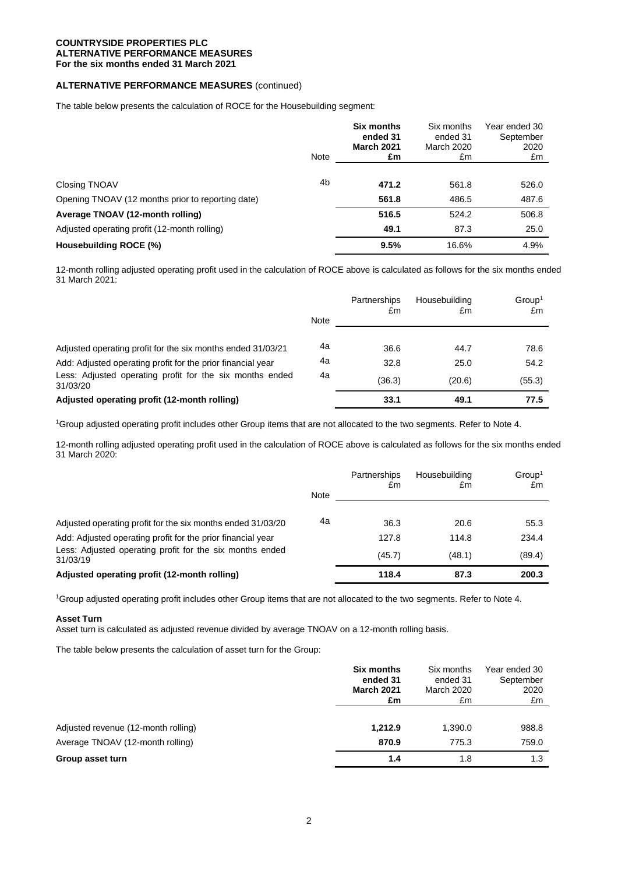# **ALTERNATIVE PERFORMANCE MEASURES** (continued)

The table below presents the calculation of ROCE for the Housebuilding segment:

|                                                   | Note | Six months<br>ended 31<br><b>March 2021</b><br>£m | Six months<br>ended 31<br>March 2020<br>£m | Year ended 30<br>September<br>2020<br>£m |
|---------------------------------------------------|------|---------------------------------------------------|--------------------------------------------|------------------------------------------|
|                                                   | 4b   |                                                   |                                            |                                          |
| <b>Closing TNOAV</b>                              |      | 471.2<br>561.8                                    | 561.8<br>486.5                             | 526.0<br>487.6                           |
| Opening TNOAV (12 months prior to reporting date) |      |                                                   |                                            |                                          |
| Average TNOAV (12-month rolling)                  |      | 516.5                                             | 524.2                                      | 506.8                                    |
| Adjusted operating profit (12-month rolling)      |      | 49.1                                              | 87.3                                       | 25.0                                     |
| Housebuilding ROCE (%)                            |      | 9.5%                                              | 16.6%                                      | 4.9%                                     |

12-month rolling adjusted operating profit used in the calculation of ROCE above is calculated as follows for the six months ended 31 March 2021:

|                                                                      |      | Partnerships<br>£m | Housebuilding<br>£m | Group <sup>1</sup><br>£m |
|----------------------------------------------------------------------|------|--------------------|---------------------|--------------------------|
|                                                                      | Note |                    |                     |                          |
| Adjusted operating profit for the six months ended 31/03/21          | 4a   | 36.6               | 44.7                | 78.6                     |
| Add: Adjusted operating profit for the prior financial year          | 4a   | 32.8               | 25.0                | 54.2                     |
| Less: Adjusted operating profit for the six months ended<br>31/03/20 | 4a   | (36.3)             | (20.6)              | (55.3)                   |
| Adjusted operating profit (12-month rolling)                         |      | 33.1               | 49.1                | 77.5                     |

<sup>1</sup>Group adjusted operating profit includes other Group items that are not allocated to the two segments. Refer to Note 4.

12-month rolling adjusted operating profit used in the calculation of ROCE above is calculated as follows for the six months ended 31 March 2020:

|                                                                      |             | Partnerships<br>£m | Housebuilding<br>£m | Group <sup>1</sup><br>£m |
|----------------------------------------------------------------------|-------------|--------------------|---------------------|--------------------------|
|                                                                      | <b>Note</b> |                    |                     |                          |
| Adjusted operating profit for the six months ended 31/03/20          | 4a          | 36.3               | 20.6                | 55.3                     |
| Add: Adjusted operating profit for the prior financial year          |             | 127.8              | 114.8               | 234.4                    |
| Less: Adjusted operating profit for the six months ended<br>31/03/19 |             | (45.7)             | (48.1)              | (89.4)                   |
| Adjusted operating profit (12-month rolling)                         |             | 118.4              | 87.3                | 200.3                    |

<sup>1</sup>Group adjusted operating profit includes other Group items that are not allocated to the two segments. Refer to Note 4.

### **Asset Turn**

Asset turn is calculated as adjusted revenue divided by average TNOAV on a 12-month rolling basis.

The table below presents the calculation of asset turn for the Group:

|                                     | Six months        | Six months        | Year ended 30 |
|-------------------------------------|-------------------|-------------------|---------------|
|                                     | ended 31          | ended 31          | September     |
|                                     | <b>March 2021</b> | <b>March 2020</b> | 2020          |
|                                     | £m                | £m                | £m            |
| Adjusted revenue (12-month rolling) | 1,212.9           | 1.390.0           | 988.8         |
| Average TNOAV (12-month rolling)    | 870.9             | 775.3             | 759.0         |
| Group asset turn                    | 1.4               | 1.8               | 1.3           |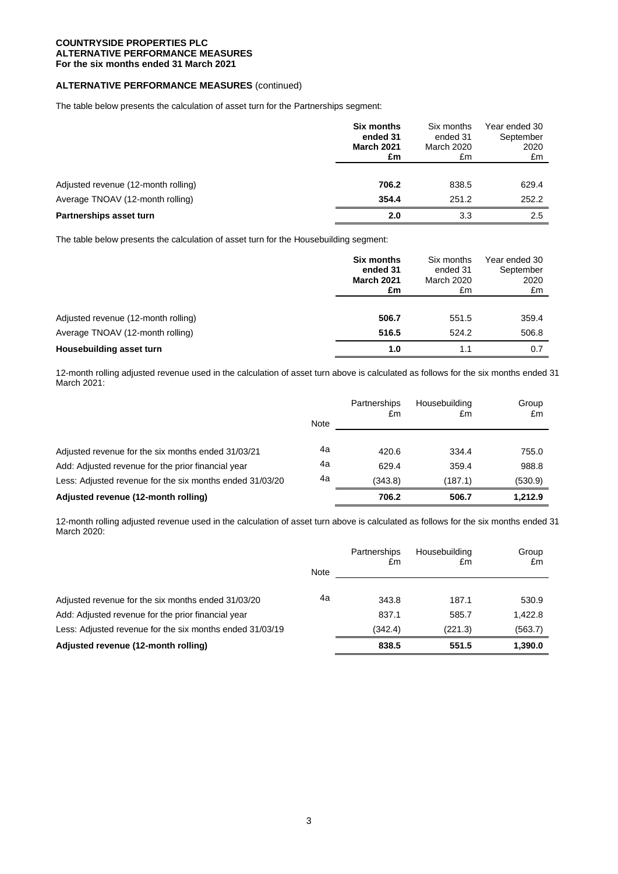# **ALTERNATIVE PERFORMANCE MEASURES** (continued)

The table below presents the calculation of asset turn for the Partnerships segment:

|                                     | <b>Six months</b> | Six months | Year ended 30 |
|-------------------------------------|-------------------|------------|---------------|
|                                     | ended 31          | ended 31   | September     |
|                                     | <b>March 2021</b> | March 2020 | 2020          |
|                                     | £m                | £m         | £m            |
| Adjusted revenue (12-month rolling) | 706.2             | 838.5      | 629.4         |
| Average TNOAV (12-month rolling)    | 354.4             | 251.2      | 252.2         |
| Partnerships asset turn             | 2.0               | 3.3        | 2.5           |

The table below presents the calculation of asset turn for the Housebuilding segment:

|                                     | <b>Six months</b> | Six months | Year ended 30 |
|-------------------------------------|-------------------|------------|---------------|
|                                     | ended 31          | ended 31   | September     |
|                                     | <b>March 2021</b> | March 2020 | 2020          |
|                                     | £m                | £m         | £m            |
| Adjusted revenue (12-month rolling) | 506.7             | 551.5      | 359.4         |
| Average TNOAV (12-month rolling)    | 516.5             | 524.2      | 506.8         |
| Housebuilding asset turn            | 1.0               | 1.1        | 0.7           |

12-month rolling adjusted revenue used in the calculation of asset turn above is calculated as follows for the six months ended 31 March 2021:

|                                                          | Note | <b>Partnerships</b><br>£m | Housebuilding<br>£m | Group<br>£m |
|----------------------------------------------------------|------|---------------------------|---------------------|-------------|
| Adjusted revenue for the six months ended 31/03/21       | 4a   | 420.6                     | 334.4               | 755.0       |
| Add: Adjusted revenue for the prior financial year       | 4a   | 629.4                     | 359.4               | 988.8       |
| Less: Adjusted revenue for the six months ended 31/03/20 | 4a   | (343.8)                   | (187.1)             | (530.9)     |
| Adjusted revenue (12-month rolling)                      |      | 706.2                     | 506.7               | 1.212.9     |

12-month rolling adjusted revenue used in the calculation of asset turn above is calculated as follows for the six months ended 31 March 2020:

|                                                          | <b>Note</b> | Partnerships<br>£m | Housebuilding<br>£m | Group<br>£m |
|----------------------------------------------------------|-------------|--------------------|---------------------|-------------|
| Adjusted revenue for the six months ended 31/03/20       | 4a          | 343.8              | 187.1               | 530.9       |
| Add: Adjusted revenue for the prior financial year       |             | 837.1              | 585.7               | 1,422.8     |
| Less: Adjusted revenue for the six months ended 31/03/19 |             | (342.4)            | (221.3)             | (563.7)     |
| Adjusted revenue (12-month rolling)                      |             | 838.5              | 551.5               | 1.390.0     |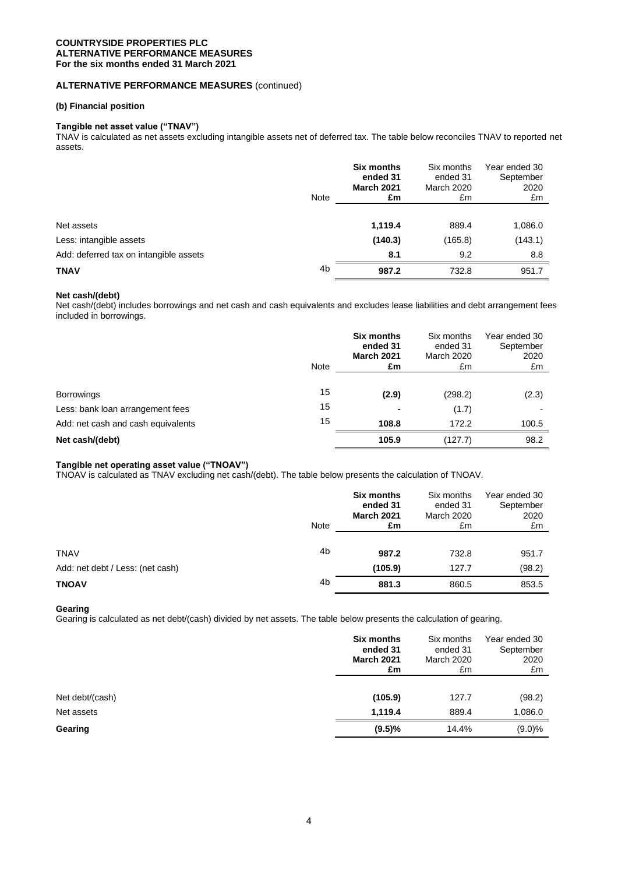## **ALTERNATIVE PERFORMANCE MEASURES** (continued)

### **(b) Financial position**

## **Tangible net asset value ("TNAV")**

TNAV is calculated as net assets excluding intangible assets net of deferred tax. The table below reconciles TNAV to reported net assets.

|                                        | Note | <b>Six months</b><br>ended 31<br><b>March 2021</b><br>£m | Six months<br>ended 31<br><b>March 2020</b><br>£m | Year ended 30<br>September<br>2020<br>£m |
|----------------------------------------|------|----------------------------------------------------------|---------------------------------------------------|------------------------------------------|
| Net assets                             |      | 1,119.4                                                  | 889.4                                             | 1,086.0                                  |
| Less: intangible assets                |      | (140.3)                                                  | (165.8)                                           | (143.1)                                  |
| Add: deferred tax on intangible assets |      | 8.1                                                      | 9.2                                               | 8.8                                      |
| TNAV                                   | 4b   | 987.2                                                    | 732.8                                             | 951.7                                    |

### **Net cash/(debt)**

Net cash/(debt) includes borrowings and net cash and cash equivalents and excludes lease liabilities and debt arrangement fees included in borrowings.

|                                    | <b>Note</b> | Six months<br>ended 31<br><b>March 2021</b><br>£m | Six months<br>ended 31<br><b>March 2020</b><br>£m | Year ended 30<br>September<br>2020<br>£m |
|------------------------------------|-------------|---------------------------------------------------|---------------------------------------------------|------------------------------------------|
| <b>Borrowings</b>                  | 15          | (2.9)                                             | (298.2)                                           | (2.3)                                    |
| Less: bank loan arrangement fees   | 15          |                                                   | (1.7)                                             |                                          |
| Add: net cash and cash equivalents | 15          | 108.8                                             | 172.2                                             | 100.5                                    |
| Net cash/(debt)                    |             | 105.9                                             | (127.7)                                           | 98.2                                     |

# **Tangible net operating asset value ("TNOAV")**

TNOAV is calculated as TNAV excluding net cash/(debt). The table below presents the calculation of TNOAV.

|                                  | Note           | Six months<br>ended 31<br><b>March 2021</b><br>£m | Six months<br>ended 31<br>March 2020<br>£m | Year ended 30<br>September<br>2020<br>£m |
|----------------------------------|----------------|---------------------------------------------------|--------------------------------------------|------------------------------------------|
|                                  |                |                                                   |                                            |                                          |
| <b>TNAV</b>                      | 4b             | 987.2                                             | 732.8                                      | 951.7                                    |
| Add: net debt / Less: (net cash) |                | (105.9)                                           | 127.7                                      | (98.2)                                   |
| <b>TNOAV</b>                     | 4 <sub>b</sub> | 881.3                                             | 860.5                                      | 853.5                                    |

## **Gearing**

Gearing is calculated as net debt/(cash) divided by net assets. The table below presents the calculation of gearing.

|                 | Six months        | Six months        | Year ended 30 |
|-----------------|-------------------|-------------------|---------------|
|                 | ended 31          | ended 31          | September     |
|                 | <b>March 2021</b> | <b>March 2020</b> | 2020          |
|                 | £m                | £m                | £m            |
| Net debt/(cash) | (105.9)           | 127.7             | (98.2)        |
| Net assets      | 1,119.4           | 889.4             | 1,086.0       |
| Gearing         | $(9.5)\%$         | 14.4%             | $(9.0)\%$     |